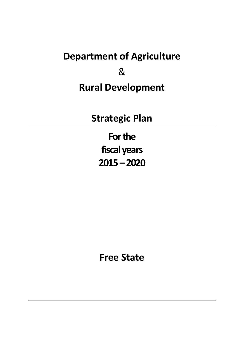# **Department of Agriculture**

& **Rural Development**

**Strategic Plan**

**Forthe fiscal years 2015–2020**

**Free State**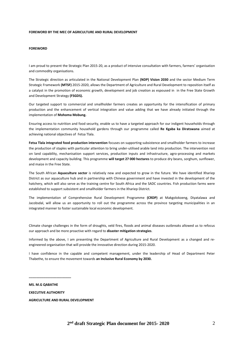#### **FOREWORD BY THE MEC OF AGRICULTURE AND RURAL DEVELOPMENT**

## **FOREWORD**

I am proud to present the Strategic Plan 2015-20, as a product of intensive consultation with farmers, farmers' organisation and commodity organisations.

The Strategic direction as articulated in the National Development Plan **(NDP) Vision 2030** and the sector Medium Term Strategic Framework **(MTSF)** 2015-2020, allows the Department of Agriculture and Rural Development to reposition itself as a catalyst in the promotion of economic growth, development and job creation as espoused in in the Free State Growth and Development Strategy **(FSGDS).**

Our targeted support to commercial and smallholder farmers creates an opportunity for the intensification of primary production and the enhancement of vertical integration and value adding that we have already initiated through the implementation of **Mohoma Mobung.**

Ensuring access to nutrition and food security, enable us to have a targeted approach for our indigent households through the implementation community household gardens through our programme called **Re Kgaba ka Diratswana** aimed at achieving national objectives of Fetsa Tlala.

**Fetsa Tlala integrated food production intervention** focuses on supporting subsistence and smallholder farmers to increase the production of staples with particular attention to bring under-utilised arable land into production. The intervention rest on land capability, mechanisation support services, production inputs and infrastructure, agro-processing and markets development and capacity building. This programme **will target 27 000 hectares** to produce dry beans, sorghum, sunflower, and maize in the Free State.

The South African **Aquaculture sector** is relatively new and expected to grow in the future. We have identified Xhariep District as our aquaculture hub and in partnership with Chinese government and have invested in the development of the hatchery, which will also serve as the training centre for South Africa and the SADC countries. Fish production farms were established to support subsistent and smallholder farmers in the Xhariep District.

The implementation of Comprehensive Rural Development Programme **(CRDP)** at Makgolokoeng, Diyatalawa and Jacobsdal, will allow us an opportunity to roll out the programme across the province targeting municipalities in an integrated manner to foster sustainable local economic development.

Climate change challenges in the form of droughts, veld fires, floods and animal diseases outbreaks allowed us to refocus our approach and be more proactive with regard to **disaster mitigation strategies**.

Informed by the above, I am presenting the Department of Agriculture and Rural Development as a changed and reengineered organisation that will provide the innovative direction during 2015-2020.

I have confidence in the capable and competent management, under the leadership of Head of Department Peter Thabethe, to ensure the movement towards **an Inclusive Rural Economy by 2030.**

**MS. M.G QABATHE EXECUTIVE AUTHORITY AGRICULTURE AND RURAL DEVELOPMENT** 

**\_\_\_\_\_\_\_\_\_\_\_\_\_\_\_\_\_\_\_\_\_\_\_**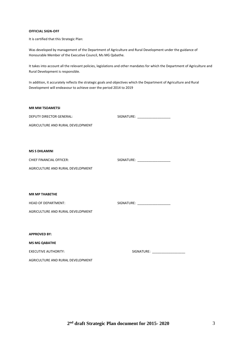# **OFFICIAL SIGN-OFF**

It is certified that this Strategic Plan:

Was developed by management of the Department of Agriculture and Rural Development under the guidance of Honourable Member of the Executive Council, Ms MG Qabathe.

It takes into account all the relevant policies, legislations and other mandates for which the Department of Agriculture and Rural Development is responsible.

In addition, it accurately reflects the strategic goals and objectives which the Department of Agriculture and Rural Development will endeavour to achieve over the period 2014 to 2019

| <b>MR MM TSOAMETSI</b>            |                                  |
|-----------------------------------|----------------------------------|
| <b>DEPUTY DIRECTOR GENERAL:</b>   | SIGNATURE: _____________________ |
| AGRICULTURE AND RURAL DEVELOPMENT |                                  |
|                                   |                                  |
|                                   |                                  |
| <b>MS S DHLAMINI</b>              |                                  |
| <b>CHIEF FINANCIAL OFFICER:</b>   | SIGNATURE: ____________________  |
| AGRICULTURE AND RURAL DEVELOPMENT |                                  |
|                                   |                                  |
|                                   |                                  |
| <b>MR MP THABETHE</b>             |                                  |
| <b>HEAD OF DEPARTMENT:</b>        | SIGNATURE: ____________________  |
| AGRICULTURE AND RURAL DEVELOPMENT |                                  |
|                                   |                                  |
|                                   |                                  |
| <b>APPROVED BY:</b>               |                                  |
| <b>MS MG QABATHE</b>              |                                  |
| <b>EXECUTIVE AUTHORITY:</b>       | SIGNATURE: ____________________  |
| AGRICULTURE AND RURAL DEVELOPMENT |                                  |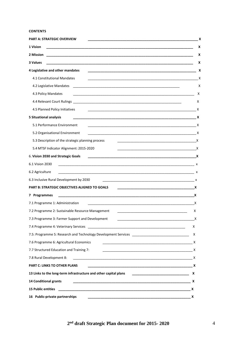# **CONTENTS**

| <b>PART A: STRATEGIC OVERVIEW</b>                                                                                                 | х        |
|-----------------------------------------------------------------------------------------------------------------------------------|----------|
| 1 Vision                                                                                                                          | х        |
|                                                                                                                                   | x        |
| 3 Values<br><u> 1989 - Johann Harry Harry Harry Harry Harry Harry Harry Harry Harry Harry Harry Harry Harry Harry Harry Harry</u> | х        |
| 4 Legislative and other mandates                                                                                                  | Х        |
| 4.1 Constitutional Mandates                                                                                                       | Х        |
| 4.2 Legislative Mandates                                                                                                          | Χ        |
| 4.3 Policy Mandates                                                                                                               | X        |
|                                                                                                                                   | X        |
| 4.5 Planned Policy Initiatives                                                                                                    |          |
| <b>5 Situational analysis</b>                                                                                                     | X        |
| 5.1 Performance Environment                                                                                                       | X        |
| 5.2 Organisational Environment                                                                                                    |          |
| 5.3 Description of the strategic planning process                                                                                 | <u>x</u> |
| 5.4 MTSF Indicator Alignment: 2015-2020                                                                                           | <u>x</u> |
| 6. Vision 2030 and Strategic Goals                                                                                                |          |
| 6.1 Vision 2030<br>$\mathsf{x}$                                                                                                   |          |
| 6.2 Agriculture                                                                                                                   |          |
| 6.3 Inclusive Rural Development by 2030                                                                                           |          |
| <b>PART B: STRATEGIC OBJECTIVES ALIGNED TO GOALS</b><br>$\mathsf{X}$                                                              |          |
| 7 Programmes                                                                                                                      | X        |
| 7.1 Programme 1: Administration                                                                                                   | X        |
| 7.2 Programme 2: Sustainable Resource Management                                                                                  | X        |
| 7.3 Programme 3: Farmer Support and Development                                                                                   | х        |
|                                                                                                                                   | x        |
|                                                                                                                                   | х        |
| 7.6 Programme 6: Agricultural Economics<br><u> 1980 - Johann Barn, mars an t-Amerikaansk politiker (* 1908)</u>                   | X        |
| 7.7 Structured Education and Training 7:                                                                                          |          |
| 7.8 Rural Development 8:                                                                                                          |          |
| <b>PART C: LINKS TO OTHER PLANS</b>                                                                                               |          |
| 13 Links to the long-term infrastructure and other capital plans                                                                  |          |
| 14 Conditional grants                                                                                                             |          |
|                                                                                                                                   |          |
| 16 Public-private partnerships                                                                                                    |          |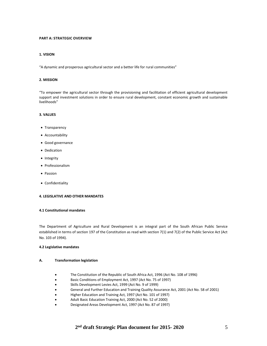# **PART A: STRATEGIC OVERVIEW**

## **1. VISION**

"A dynamic and prosperous agricultural sector and a better life for rural communities"

## **2. MISSION**

"To empower the agricultural sector through the provisioning and facilitation of efficient agricultural development support and investment solutions in order to ensure rural development, constant economic growth and sustainable livelihoods"

## **3. VALUES**

- Transparency
- Accountability
- Good governance
- Dedication
- Integrity
- Professionalism
- Passion
- Confidentiality

## **4. LEGISLATIVE AND OTHER MANDATES**

## **4.1 Constitutional mandates**

The Department of Agriculture and Rural Development is an integral part of the South African Public Service established in terms of section 197 of the Constitution as read with section 7(1) and 7(2) of the Public Service Act (Act No. 103 of 1994).

## **4.2 Legislative mandates**

#### **A. Transformation legislation**

- The Constitution of the Republic of South Africa Act, 1996 (Act No. 108 of 1996)
- Basic Conditions of Employment Act, 1997 (Act No. 75 of 1997)
- Skills Development Levies Act, 1999 (Act No. 9 of 1999)
- General and Further Education and Training Quality Assurance Act, 2001 (Act No. 58 of 2001)
- Higher Education and Training Act, 1997 (Act No. 101 of 1997)
- Adult Basic Education Training Act, 2000 (Act No. 52 of 2000)
- Designated Areas Development Act, 1997 (Act No. 87 of 1997)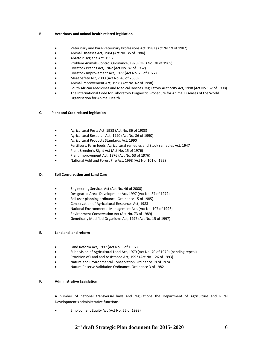## **B. Veterinary and animal health related legislation**

- Veterinary and Para-Veterinary Professions Act, 1982 (Act No.19 of 1982)
- Animal Diseases Act, 1984 (Act No. 35 of 1984)
- Abattoir Hygiene Act, 1992
- Problem Animals Control Ordinance, 1978 (ORD No. 38 of 1965)
- Livestock Brands Act, 1962 (Act No. 87 of 1962)
- Livestock Improvement Act, 1977 (Act No. 25 of 1977)
- Meat Safety Act, 2000 (Act No. 40 of 2000)
- Animal Improvement Act, 1998 (Act No. 62 of 1998)
- South African Medicines and Medical Devices Regulatory Authority Act, 1998 (Act No.132 of 1998)
- The International Code for Laboratory Diagnostic Procedure for Animal Diseases of the World Organisation for Animal Health

# **C. Plant and Crop related legislation**

- Agricultural Pests Act, 1983 (Act No. 36 of 1983)
- Agricultural Research Act, 1990 (Act No. 86 of 1990)
- Agricultural Products Standards Act, 1990
- Fertilisers, Farm feeds, Agricultural remedies and Stock remedies Act, 1947
- Plant Breeder's Right Act (Act No. 15 of 1976)
- Plant Improvement Act, 1976 (Act No. 53 of 1976)
- National Veld and Forest Fire Act, 1998 (Act No. 101 of 1998)

# **D. Soil Conservation and Land Care**

- Engineering Services Act (Act No. 46 of 2000)
- Designated Areas Development Act, 1997 (Act No. 87 of 1979)
- Soil user planning ordinance (Ordinance 15 of 1985)
- Conservation of Agricultural Resources Act, 1983
- National Environmental Management Act, (Act No. 107 of 1998)
- Environment Conservation Act (Act No. 73 of 1989)
- Genetically Modified Organisms Act, 1997 (Act No. 15 of 1997)

# **E. Land and land reform**

- Land Reform Act, 1997 (Act No. 3 of 1997)
- Subdivision of Agricultural Land Act, 1970 (Act No. 70 of 1970) (pending repeal)
- Provision of Land and Assistance Act, 1993 (Act No. 126 of 1993)
- Nature and Environmental Conservation Ordinance 19 of 1974
- Nature Reserve Validation Ordinance, Ordinance 3 of 1982

# **F. Administrative Legislation**

A number of national transversal laws and regulations the Department of Agriculture and Rural Development's administrative functions:

Employment Equity Act (Act No. 55 of 1998)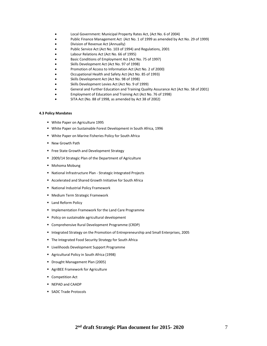- Local Government: Municipal Property Rates Act, (Act No. 6 of 2004)
- Public Finance Management Act (Act No. 1 of 1999 as amended by Act No. 29 of 1999)
- Division of Revenue Act (Annually)
- Public Service Act (Act No. 103 of 1994) and Regulations, 2001
- Labour Relations Act (Act No. 66 of 1995)
- Basic Conditions of Employment Act (Act No. 75 of 1997)
- Skills Development Act (Act No. 97 of 1998)
- Promotion of Access to Information Act (Act No. 2 of 2000)
- Occupational Health and Safety Act (Act No. 85 of 1993)
- Skills Development Act (Act No. 98 of 1998)
- Skills Development Levies Act (Act No. 9 of 1999)
- General and Further Education and Training Quality Assurance Act (Act No. 58 of 2001)
- Employment of Education and Training Act (Act No. 76 of 1998)
- SITA Act (No. 88 of 1998, as amended by Act 38 of 2002)

## **4.3 Policy Mandates**

- White Paper on Agriculture 1995
- White Paper on Sustainable Forest Development in South Africa, 1996
- White Paper on Marine Fisheries Policy for South Africa
- **New Growth Path**
- **Free State Growth and Development Strategy**
- 2009/14 Strategic Plan of the Department of Agriculture
- Mohoma Mobung
- National Infrastructure Plan Strategic Integrated Projects
- Accelerated and Shared Growth Initiative for South Africa
- National Industrial Policy Framework
- **Medium Term Strategic Framework**
- **Land Reform Policy**
- **Implementation Framework for the Land Care Programme**
- **Policy on sustainable agricultural development**
- Comprehensive Rural Development Programme (CRDP)
- Integrated Strategy on the Promotion of Entrepreneurship and Small Enterprises, 2005
- **The Integrated Food Security Strategy for South Africa**
- **EXEC** Livelihoods Development Support Programme
- Agricultural Policy in South Africa (1998)
- **Drought Management Plan (2005)**
- AgriBEE Framework for Agriculture
- **Competition Act**
- NEPAD and CAADP
- SADC Trade Protocols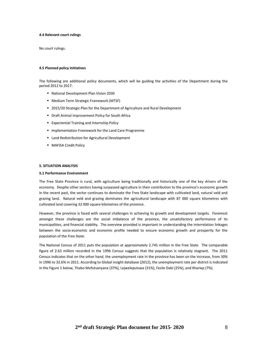#### **4.4 Relevant court rulings**

No court rulings.

#### **4.5 Planned policy initiatives**

The following are additional policy documents, which will be guiding the activities of the Department during the period 2012 to 2017:

- National Development Plan Vision 2030
- **Medium Term Strategic Framework (MTSF)**
- 2015/20 Strategic Plan for the Department of Agriculture and Rural Development
- Draft Animal Improvement Policy for South Africa
- **Experiential Training and Internship Policy**
- **Implementation Framework for the Land Care Programme**
- Land Redistribution for Agricultural Development
- **MAFISA Credit Policy**

#### **5. SITUATION ANALYSIS**

#### **5.1 Performance Environment**

The Free State Province is rural, with agriculture being traditionally and historically one of the key drivers of the economy. Despite other sectors having surpassed agriculture in their contribution to the province's economic growth in the recent past, the sector continues to dominate the Free State landscape with cultivated land, natural veld and grazing land. Natural veld and grazing dominates the agricultural landscape with 87 000 square kilometres with cultivated land covering 32 000 square kilometres of the province.

However, the province is faced with several challenges in achieving its growth and development targets. Foremost amongst these challenges are the social imbalance of the province, the unsatisfactory performance of its municipalities, and financial stability. The overview provided is important in understanding the interrelation linkages between the socio-economic and economic profile needed to ensure economic growth and prosperity for the population of the Free State.

The National Census of 2011 puts the population at approximately 2.745 million in the Free State. The comparable figure of 2.63 million recorded in the 1996 Census suggests that the population is relatively stagnant. The 2011 Census indicates that on the other hand, the unemployment rate in the province has been on the increase, from 30% in 1996 to 32.6% in 2011. According to Global insight database (2012), the unemployment rate per district is indicated in the Figure 1 below, Thabo Mofutsanyane (37%), Lejweleputswa (31%), Fezile Dabi (25%), and Xhariep (7%).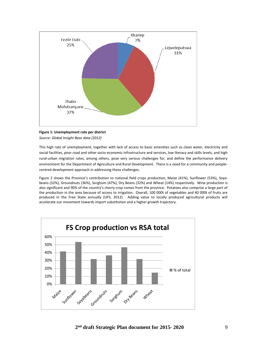

# **Figure 1: Unemployment rate per district**

*Source: Global Insight Base data (2012)*

This high rate of unemployment, together with lack of access to basic amenities such as clean water, electricity and social facilities, poor road and other socio-economic infrastructure and services, low literacy and skills levels, and high rural-urban migration rates, among others, pose very serious challenges for, and define the performance delivery environment for the Department of Agriculture and Rural Development. There is a need for a community and peoplecentred development approach in addressing these challenges.

Figure 2 shows the Province's contribution to national field crops production; Maize (41%), Sunflower (53%), Soyabeans (32%), Groundnuts (36%), Sorghum (47%), Dry Beans (32%) and Wheat (14%) respectively. Wine production is also significant and 90% of the country's cherry crop comes from the province. Potatoes also comprise a large part of the production in the area because of access to irrigation. Overall, 100 000t of vegetables and 40 000t of fruits are produced in the Free State annually (UFS, 2012). Adding value to locally produced agricultural products will accelerate our movement towards import substitution and a higher growth trajectory.

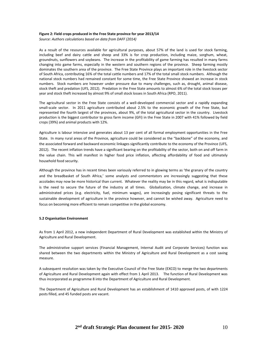#### **Figure 2: Field crops produced in the Free State province for year 2013/14**

*Source: Authors calculations based on data from DAFF (2014)*

As a result of the resources available for agricultural purposes, about 57% of the land is used for stock farming, including beef and dairy cattle and sheep and 33% is for crop production, including maize, sorghum, wheat, groundnuts, sunflowers and soybeans. The increase in the profitability of game farming has resulted in many farms changing into game farms, especially in the western and southern regions of the province. Sheep farming mostly dominates the southern area of the province. The Free State Province plays an important role in the livestock sector of South Africa, contributing 16% of the total cattle numbers and 17% of the total small stock numbers. Although the national stock numbers had remained constant for some time, the Free State Province showed an increase in stock numbers. Stock numbers are however under pressure due to many challenges, such as, drought, animal disease, stock theft and predation (UFS, 2012). Predation in the Free State amounts to almost 6% of the total stock losses per year and stock theft increased by almost 9% of small stock losses in South Africa (RPO, 2011).

The agricultural sector in the Free State consists of a well‐developed commercial sector and a rapidly expanding small-scale sector. In 2011 agriculture contributed about 2.5% to the economic growth of the Free State, but represented the fourth largest of the provinces, about 9%, of the total agricultural sector in the country. Livestock production is the biggest contributor to gross farm income (GFI) in the Free State in 2007 with 41% followed by field crops (39%) and animal products with 12%.

Agriculture is labour intensive and generates about 13 per cent of all formal employment opportunities in the Free State. In many rural areas of the Province, agriculture could be considered as the "backbone" of the economy, and the associated forward and backward economic linkages significantly contribute to the economy of the Province (UFS, 2012). The recent inflation trends have a significant bearing on the profitability of the sector, both on and off farm in the value chain. This will manifest in higher food price inflation, affecting affordability of food and ultimately household food security.

Although the province has in recent times been variously referred to in glowing terms as 'the granary of the country and the breadbasket of South Africa,' some analysts and commentators are increasingly suggesting that these accolades may now be more historical than current. Whatever the reality may be in this regard, what is indisputable is the need to secure the future of the industry at all times. Globalization, climate change, and increase in administrated prices (e.g. electricity, fuel, minimum wages), are increasingly posing significant threats to the sustainable development of agriculture in the province however, and cannot be wished away. Agriculture need to focus on becoming more efficient to remain competitive in the global economy.

## **5.2 Organisation Environment**

As from 1 April 2012, a new independent Department of Rural Development was established within the Ministry of Agriculture and Rural Development.

The administrative support services (Financial Management, Internal Audit and Corporate Services) function was shared between the two departments within the Ministry of Agriculture and Rural Development as a cost saving measure.

A subsequent resolution was taken by the Executive Council of the Free State (EXCO) to merge the two departments of Agriculture and Rural Development again with effect from 1 April 2013. The function of Rural Development was thus incorporated as programme 8 into the Department of Agriculture and Rural Development.

The Department of Agriculture and Rural Development has an establishment of 1410 approved posts, of with 1224 posts filled, and 45 funded posts are vacant.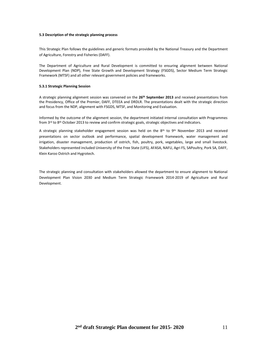#### **5.3 Description of the strategic planning process**

This Strategic Plan follows the guidelines and generic formats provided by the National Treasury and the Department of Agriculture, Forestry and Fisheries (DAFF).

The Department of Agriculture and Rural Development is committed to ensuring alignment between National Development Plan (NDP), Free State Growth and Development Strategy (FSGDS), Sector Medium Term Strategic Framework (MTSF) and all other relevant government policies and frameworks.

#### **5.3.1 Strategic Planning Session**

A strategic planning alignment session was convened on the **26th September 2013** and received presentations from the Presidency, Office of the Premier, DAFF, DTEEA and DRDLR. The presentations dealt with the strategic direction and focus from the NDP, alignment with FSGDS, MTSF, and Monitoring and Evaluation.

Informed by the outcome of the alignment session, the department initiated internal consultation with Programmes from  $3^{rd}$  to  $8^{th}$  October 2013 to review and confirm strategic goals, strategic objectives and indicators.

A strategic planning stakeholder engagement session was held on the 8<sup>th</sup> to 9<sup>th</sup> November 2013 and received presentations on sector outlook and performance, spatial development framework, water management and irrigation, disaster management, production of ostrich, fish, poultry, pork, vegetables, large and small livestock. Stakeholders represented included University of the Free State (UFS), AFASA, NAFU, Agri FS, SAPoultry, Pork SA, DAFF, Klein Karoo Ostrich and Hygrotech.

The strategic planning and consultation with stakeholders allowed the department to ensure alignment to National Development Plan Vision 2030 and Medium Term Strategic Framework 2014-2019 of Agriculture and Rural Development.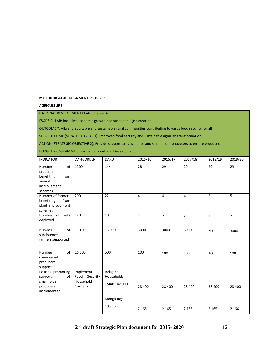## **MTSF INDICATOR ALIGNMENT: 2015-2020**

# **AGRICULTURE**

# NATIONAL DEVELOPMENT PLAN: Chapter 6

FSGDS PILLAR: Inclusive economic growth and sustainable job creation

OUTCOME 7: Vibrant, equitable and sustainable rural communities contributing towards food security for all

SUB-OUTCOME (STRATEGIC GOAL 1): Improved food security and sustainable agrarian transformation

ACTION (STRATEGIC OBJECTIVE 2): Provide support to subsistence and smallholder producers to ensure production

BUDGET PROGRAMME 3: Farmer Support and Development

| <b>INDICATOR</b>                                                                    | DAFF/DRDLR                                         | <b>DARD</b>                                                                 | 2015/16        | 2016/17        | 2017/18        | 2018/19         | 2019/20        |
|-------------------------------------------------------------------------------------|----------------------------------------------------|-----------------------------------------------------------------------------|----------------|----------------|----------------|-----------------|----------------|
| of<br>Number<br>producers<br>benefiting<br>from<br>animal<br>improvement<br>schemes | 1300                                               | 144                                                                         | 28             | 29             | 29             | $\overline{29}$ | 29             |
| Number of farmers<br>benefiting<br>from<br>plant improvement<br>schemes             | 200                                                | 22                                                                          | 4              | 4              | $\overline{4}$ | 5               | 5              |
| Number of vets<br>deployed.                                                         | 120                                                | 10                                                                          | $\overline{2}$ | $\overline{2}$ | $\overline{2}$ | $\overline{2}$  | $\overline{2}$ |
| Number<br>of<br>subsistence<br>farmers supported                                    | 130 000                                            | 15 000                                                                      | 3000           | 3000           | 3000           | 3000            | 3000           |
| of<br>Number<br>commercial<br>producers<br>supported                                | 16 000                                             | 500                                                                         | 100            | 100            | 100            | 100             | 100            |
| Policies promoting<br>of<br>support<br>smallholder<br>producers<br>implemented      | Implement<br>Food Security<br>Household<br>Gardens | Indigent<br>Households<br>Total: 142 000<br>------------------<br>Mangaung: | 28 400         | 28 400         | 28 400         | 28 400          | 28 400         |
|                                                                                     |                                                    | 10826                                                                       | 2 1 6 5        | 2 1 6 5        | 2 1 6 5        | 2 1 6 5         | 2 1 6 6        |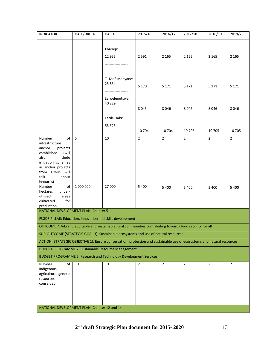| <b>INDICATOR</b>                                                                                                                                                                            | DAFF/DRDLR  | DARD                                                           | 2015/16        | 2016/17        | 2017/18        | 2018/19        | 2019/20        |
|---------------------------------------------------------------------------------------------------------------------------------------------------------------------------------------------|-------------|----------------------------------------------------------------|----------------|----------------|----------------|----------------|----------------|
|                                                                                                                                                                                             |             | ------------------<br>Xhariep:<br>12 9 55<br>----------------- | 2 5 9 1        | 2 1 6 5        | 2 1 6 5        | 2 1 6 5        | 2 1 6 5        |
|                                                                                                                                                                                             |             | T Mofutsanyane:<br>25 8 54<br>Lejweleputswa:                   | 5 1 7 0        | 5 1 7 1        | 5 1 7 1        | 5 1 7 1        | 5 1 7 1        |
|                                                                                                                                                                                             |             | 40 229<br>Fezile Dabi:                                         | 8045           | 8046           | 8046           | 8046           | 8046           |
|                                                                                                                                                                                             |             | 53 5 23                                                        | 10 704         | 10 704         | 10 705         | 10 705         | 10 705         |
| Number<br>of<br>infrastructure<br>anchor<br>projects<br>established<br>(will<br>include<br>also<br>irrigation schemes<br>as anchor projects<br>from FRNM will<br>talk<br>about<br>hectares) | $5^{\circ}$ | 10                                                             | $\overline{2}$ | $\overline{2}$ | $\overline{2}$ | $\overline{2}$ | $\overline{2}$ |
| of<br>Number<br>hectares in under-<br>utilised<br>areas<br>cultivated<br>for<br>production                                                                                                  | 1 000 000   | 27 000                                                         | 5 4 0 0        | 5 4 0 0        | 5 4 0 0        | 5 4 0 0        | 5 4 0 0        |
| NATIONAL DEVELOPMENT PLAN: Chapter 5                                                                                                                                                        |             |                                                                |                |                |                |                |                |
| FSGDS PILLAR: Education, innovation and skills development                                                                                                                                  |             |                                                                |                |                |                |                |                |
| OUTCOME 7: Vibrant, equitable and sustainable rural communities contributing towards food security for all                                                                                  |             |                                                                |                |                |                |                |                |
| SUB-OUTCOME (STRATEGIC GOAL 3): Sustainable ecosystems and use of natural resources                                                                                                         |             |                                                                |                |                |                |                |                |
| ACTION (STRATEGIC OBJECTIVE 1): Ensure conservation, protection and sustainable use of ecosystems and natural resources                                                                     |             |                                                                |                |                |                |                |                |
| <b>BUDGET PROGRAMME 2: Sustainable Resource Management</b><br>BUDGET PROGRAMME 5: Research and Technology Development Services                                                              |             |                                                                |                |                |                |                |                |
| Number<br>of                                                                                                                                                                                | 10          | 10                                                             | $\overline{2}$ | $\overline{2}$ | $\overline{2}$ | $\overline{2}$ | $\overline{2}$ |
| indigenous<br>agricultural genetic<br>resources<br>conserved                                                                                                                                |             |                                                                |                |                |                |                |                |
|                                                                                                                                                                                             |             |                                                                |                |                |                |                |                |
| NATIONAL DEVELOPMENT PLAN: Chapter 12 and 14                                                                                                                                                |             |                                                                |                |                |                |                |                |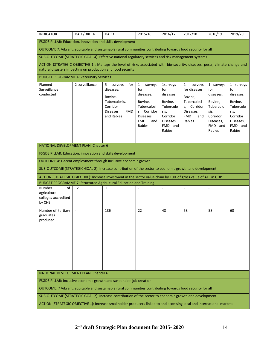| <b>INDICATOR</b>                                                                                                                                                                           | DAFF/DRDLR                                                                                         | <b>DARD</b>                                                                         | 2015/16                                                                                               | 2016/17                                                                                        | 2017/18                                                                                            | 2018/19                                                                                        | 2019/20                                                                                        |  |
|--------------------------------------------------------------------------------------------------------------------------------------------------------------------------------------------|----------------------------------------------------------------------------------------------------|-------------------------------------------------------------------------------------|-------------------------------------------------------------------------------------------------------|------------------------------------------------------------------------------------------------|----------------------------------------------------------------------------------------------------|------------------------------------------------------------------------------------------------|------------------------------------------------------------------------------------------------|--|
| FSGDS PILLAR: Education, innovation and skills development                                                                                                                                 |                                                                                                    |                                                                                     |                                                                                                       |                                                                                                |                                                                                                    |                                                                                                |                                                                                                |  |
| OUTCOME 7: Vibrant, equitable and sustainable rural communities contributing towards food security for all                                                                                 |                                                                                                    |                                                                                     |                                                                                                       |                                                                                                |                                                                                                    |                                                                                                |                                                                                                |  |
| SUB-OUTCOME (STRATEGIC GOAL 4): Effective national regulatory services and risk management systems                                                                                         |                                                                                                    |                                                                                     |                                                                                                       |                                                                                                |                                                                                                    |                                                                                                |                                                                                                |  |
| ACTION (STRATEGIC OBJECTIVE 1): Manage the level of risks associated with bio-security, diseases, pests, climate change and<br>natural disasters impacting on production and food security |                                                                                                    |                                                                                     |                                                                                                       |                                                                                                |                                                                                                    |                                                                                                |                                                                                                |  |
| <b>BUDGET PROGRAMME 4: Veterinary Services</b>                                                                                                                                             |                                                                                                    |                                                                                     |                                                                                                       |                                                                                                |                                                                                                    |                                                                                                |                                                                                                |  |
| Planned                                                                                                                                                                                    | 2 surveillance                                                                                     | for<br>5.<br>surveys                                                                | $\mathbf{1}$<br>surveys                                                                               | <b>1surveys</b>                                                                                | $\mathbf{1}$<br>surveys                                                                            | 1 surveys                                                                                      | 1 surveys                                                                                      |  |
| Surveillance<br>conducted                                                                                                                                                                  |                                                                                                    | diseases:<br>Bovine,<br>Tuberculosis,<br>Corridor<br>Diseases,<br>FMD<br>and Rabies | for<br>diseases:<br>Bovine,<br>Tuberculosi<br>s, Corridor<br>Diseases,<br><b>FMD</b><br>and<br>Rabies | for<br>diseases:<br>Bovine,<br>Tuberculo<br>sis,<br>Corridor<br>Diseases,<br>FMD and<br>Rabies | for diseases:<br>Bovine,<br>Tuberculosi<br>s, Corridor<br>Diseases,<br><b>FMD</b><br>and<br>Rabies | for<br>diseases:<br>Bovine,<br>Tuberculo<br>sis,<br>Corridor<br>Diseases,<br>FMD and<br>Rabies | for<br>diseases:<br>Bovine,<br>Tuberculo<br>sis,<br>Corridor<br>Diseases,<br>FMD and<br>Rabies |  |
|                                                                                                                                                                                            |                                                                                                    |                                                                                     |                                                                                                       |                                                                                                |                                                                                                    |                                                                                                |                                                                                                |  |
|                                                                                                                                                                                            | NATIONAL DEVELOPMENT PLAN: Chapter 6<br>FSGDS PILLAR: Education, innovation and skills development |                                                                                     |                                                                                                       |                                                                                                |                                                                                                    |                                                                                                |                                                                                                |  |
|                                                                                                                                                                                            |                                                                                                    |                                                                                     |                                                                                                       |                                                                                                |                                                                                                    |                                                                                                |                                                                                                |  |
| OUTCOME 4: Decent employment through inclusive economic growth                                                                                                                             |                                                                                                    |                                                                                     |                                                                                                       |                                                                                                |                                                                                                    |                                                                                                |                                                                                                |  |
| SUB-OUTCOME (STRATEGIC GOAL 2): Increase contribution of the sector to economic growth and development                                                                                     |                                                                                                    |                                                                                     |                                                                                                       |                                                                                                |                                                                                                    |                                                                                                |                                                                                                |  |
| ACTION (STRATEGIC OBJECTIVE): Increase investment in the sector value chain by 10% of gross value of AFF in GDP                                                                            |                                                                                                    |                                                                                     |                                                                                                       |                                                                                                |                                                                                                    |                                                                                                |                                                                                                |  |
| BUDGET PROGRAMME 7: Structured Agricultural Education and Training                                                                                                                         |                                                                                                    |                                                                                     |                                                                                                       |                                                                                                |                                                                                                    |                                                                                                |                                                                                                |  |
| Number<br>οf<br>agricultural<br>colleges accredited<br>by CHE                                                                                                                              | 12                                                                                                 | 1                                                                                   |                                                                                                       | ÷,                                                                                             |                                                                                                    | ÷,                                                                                             | $\mathbf{1}$                                                                                   |  |
| Number of tertiary<br>graduates<br>produced                                                                                                                                                | $\sim$                                                                                             | 186                                                                                 | 22                                                                                                    | 48                                                                                             | 58                                                                                                 | 58                                                                                             | 60                                                                                             |  |
| NATIONAL DEVELOPMENT PLAN: Chapter 6                                                                                                                                                       |                                                                                                    |                                                                                     |                                                                                                       |                                                                                                |                                                                                                    |                                                                                                |                                                                                                |  |
| FSGDS PILLAR: Inclusive economic growth and sustainable job creation                                                                                                                       |                                                                                                    |                                                                                     |                                                                                                       |                                                                                                |                                                                                                    |                                                                                                |                                                                                                |  |
| OUTCOME: 7 Vibrant, equitable and sustainable rural communities contributing towards food security for all                                                                                 |                                                                                                    |                                                                                     |                                                                                                       |                                                                                                |                                                                                                    |                                                                                                |                                                                                                |  |
| SUB-OUTCOME (STRATEGIC GOAL 2): Increase contribution of the sector to economic growth and development                                                                                     |                                                                                                    |                                                                                     |                                                                                                       |                                                                                                |                                                                                                    |                                                                                                |                                                                                                |  |
| ACTION (STRATEGIC OBJECTIVE 1): Increase smallholder producers linked to and accessing local and international markets                                                                     |                                                                                                    |                                                                                     |                                                                                                       |                                                                                                |                                                                                                    |                                                                                                |                                                                                                |  |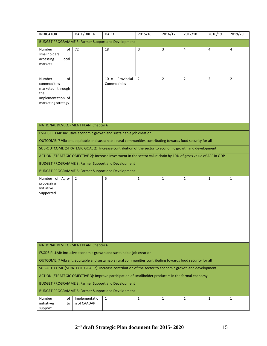| <b>INDICATOR</b>                                                                                                  | DAFF/DRDLR                           | <b>DARD</b>                       | 2015/16        | 2016/17        | 2017/18        | 2018/19        | 2019/20        |  |  |  |
|-------------------------------------------------------------------------------------------------------------------|--------------------------------------|-----------------------------------|----------------|----------------|----------------|----------------|----------------|--|--|--|
| <b>BUDGET PROGRAMME 3: Farmer Support and Development</b>                                                         |                                      |                                   |                |                |                |                |                |  |  |  |
| Number<br>of<br>smallholders<br>accessing<br>local<br>markets                                                     | 72                                   | 18                                | $\overline{3}$ | $\overline{3}$ | $\overline{4}$ | 4              | $\overline{4}$ |  |  |  |
| Number<br>of<br>commodities<br>marketed through<br>the<br>implementation of<br>marketing strategy                 |                                      | Provincial<br>10 x<br>Commodities | $\overline{2}$ | $\overline{2}$ | $\overline{2}$ | $\overline{2}$ | $\overline{2}$ |  |  |  |
|                                                                                                                   | NATIONAL DEVELOPMENT PLAN: Chapter 6 |                                   |                |                |                |                |                |  |  |  |
| FSGDS PILLAR: Inclusive economic growth and sustainable job creation                                              |                                      |                                   |                |                |                |                |                |  |  |  |
| OUTCOME: 7 Vibrant, equitable and sustainable rural communities contributing towards food security for all        |                                      |                                   |                |                |                |                |                |  |  |  |
| SUB-OUTCOME (STRATEGIC GOAL 2): Increase contribution of the sector to economic growth and development            |                                      |                                   |                |                |                |                |                |  |  |  |
| ACTION (STRATEGIC OBJECTIVE 2): Increase investment in the sector value chain by 10% of gross value of AFF in GDP |                                      |                                   |                |                |                |                |                |  |  |  |
| <b>BUDGET PROGRAMME 3: Farmer Support and Development</b>                                                         |                                      |                                   |                |                |                |                |                |  |  |  |
| <b>BUDGET PROGRAMME 6: Farmer Support and Development</b>                                                         |                                      |                                   |                |                |                |                |                |  |  |  |
| Number of Agro-<br>processing<br>Initiative<br>Supported                                                          | $\overline{2}$                       | 5                                 | $\mathbf{1}$   | $\mathbf{1}$   | $\mathbf{1}$   | $\mathbf{1}$   | $\mathbf{1}$   |  |  |  |
| NATIONAL DEVELOPMENT PLAN: Chapter 6                                                                              |                                      |                                   |                |                |                |                |                |  |  |  |
| FSGDS PILLAR: Inclusive economic growth and sustainable job creation                                              |                                      |                                   |                |                |                |                |                |  |  |  |
| OUTCOME: 7 Vibrant, equitable and sustainable rural communities contributing towards food security for all        |                                      |                                   |                |                |                |                |                |  |  |  |
| SUB-OUTCOME (STRATEGIC GOAL 2): Increase contribution of the sector to economic growth and development            |                                      |                                   |                |                |                |                |                |  |  |  |
| ACTION (STRATEGIC OBJECTIVE 3): Improve participation of smallholder producers in the formal economy              |                                      |                                   |                |                |                |                |                |  |  |  |
| <b>BUDGET PROGRAMME 3: Farmer Support and Development</b>                                                         |                                      |                                   |                |                |                |                |                |  |  |  |
| <b>BUDGET PROGRAMME 6: Farmer Support and Development</b>                                                         |                                      |                                   |                |                |                |                |                |  |  |  |
| Number<br>οf<br>initiatives<br>to<br>support                                                                      | Implementatio<br>n of CAADAP         | 1                                 | $\mathbf{1}$   | $\mathbf{1}$   | $\mathbf{1}$   | $\mathbf{1}$   | $\mathbf{1}$   |  |  |  |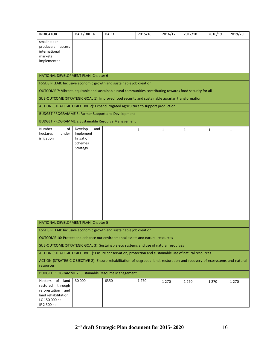| <b>INDICATOR</b>                                                                                                                        | DAFF/DRDLR                                                       | <b>DARD</b>  | 2015/16      | 2016/17      | 2017/18      | 2018/19      | 2019/20      |
|-----------------------------------------------------------------------------------------------------------------------------------------|------------------------------------------------------------------|--------------|--------------|--------------|--------------|--------------|--------------|
| smallholder<br>producers<br>access<br>international<br>markets<br>implemented                                                           |                                                                  |              |              |              |              |              |              |
| NATIONAL DEVELOPMENT PLAN: Chapter 6                                                                                                    |                                                                  |              |              |              |              |              |              |
| FSGDS PILLAR: Inclusive economic growth and sustainable job creation                                                                    |                                                                  |              |              |              |              |              |              |
| OUTCOME 7: Vibrant, equitable and sustainable rural communities contributing towards food security for all                              |                                                                  |              |              |              |              |              |              |
| SUB-OUTCOME (STRATEGIC GOAL 1): Improved food security and sustainable agrarian transformation                                          |                                                                  |              |              |              |              |              |              |
| ACTION (STRATEGIC OBJECTIVE 2): Expand irrigated agriculture to support production                                                      |                                                                  |              |              |              |              |              |              |
| <b>BUDGET PROGRAMME 3: Farmer Support and Development</b>                                                                               |                                                                  |              |              |              |              |              |              |
| <b>BUDGET PROGRAMME 2:Sustainable Resource Management</b>                                                                               |                                                                  |              |              |              |              |              |              |
| Number<br>of<br>hectares<br>under<br>irrigation                                                                                         | Develop<br>and<br>Implement<br>Irrigation<br>Schemes<br>Strategy | $\mathbf{1}$ | $\mathbf{1}$ | $\mathbf{1}$ | $\mathbf{1}$ | $\mathbf{1}$ | $\mathbf{1}$ |
| NATIONAL DEVELOPMENT PLAN: Chapter 5                                                                                                    |                                                                  |              |              |              |              |              |              |
| FSGDS PILLAR: Inclusive economic growth and sustainable job creation                                                                    |                                                                  |              |              |              |              |              |              |
| OUTCOME 10: Protect and enhance our environmental assets and natural resources                                                          |                                                                  |              |              |              |              |              |              |
| SUB-OUTCOME (STRATEGIC GOAL 3): Sustainable eco systems and use of natural resources                                                    |                                                                  |              |              |              |              |              |              |
| ACTION (STRATEGIC OBJECTIVE 1): Ensure conservation, protection and sustainable use of natural resources                                |                                                                  |              |              |              |              |              |              |
| ACTION (STRATEGIC OBJECTIVE 2): Ensure rehabilitation of degraded land, restoration and recovery of ecosystems and natural<br>resources |                                                                  |              |              |              |              |              |              |
| <b>BUDGET PROGRAMME 2: Sustainable Resource Management</b>                                                                              |                                                                  |              |              |              |              |              |              |
| of land<br>Hectors<br>through<br>restored<br>reforestation and<br>land rehabilitation<br>LC 150 000 ha<br>IF 2 500 ha                   | 30 000                                                           | 6350         | 1 2 7 0      | 1 2 7 0      | 1 2 7 0      | 1 2 7 0      | 1 2 7 0      |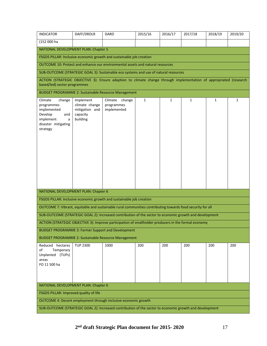| <b>INDICATOR</b>                                                                                                                                   | DAFF/DRDLR                                                                     | <b>DARD</b>                                    | 2015/16      | 2016/17      | 2017/18      | 2018/19      | 2019/20      |  |  |
|----------------------------------------------------------------------------------------------------------------------------------------------------|--------------------------------------------------------------------------------|------------------------------------------------|--------------|--------------|--------------|--------------|--------------|--|--|
| (152 000 ha                                                                                                                                        |                                                                                |                                                |              |              |              |              |              |  |  |
| NATIONAL DEVELOPMENT PLAN: Chapter 5                                                                                                               |                                                                                |                                                |              |              |              |              |              |  |  |
| FSGDS PILLAR: Inclusive economic growth and sustainable job creation                                                                               |                                                                                |                                                |              |              |              |              |              |  |  |
|                                                                                                                                                    | OUTCOME 10: Protect and enhance our environmental assets and natural resources |                                                |              |              |              |              |              |  |  |
| SUB-OUTCOME (STRATEGIC GOAL 3): Sustainable eco systems and use of natural resources                                                               |                                                                                |                                                |              |              |              |              |              |  |  |
| ACTION (STRATEGIC OBJECTIVE 3): Ensure adaption to climate change through implementation of appropriated (research<br>based/led) sector programmes |                                                                                |                                                |              |              |              |              |              |  |  |
| <b>BUDGET PROGRAMME 2: Sustainable Resource Management</b>                                                                                         |                                                                                |                                                |              |              |              |              |              |  |  |
| Climate<br>change<br>programmes<br>implemented<br>Develop<br>and<br>implement<br>a<br>disaster mitigating<br>strategy                              | Implement<br>climate change<br>mitigation and<br>capacity<br>building          | Climate<br>change<br>programmes<br>implemented | $\mathbf{1}$ | $\mathbf{1}$ | $\mathbf{1}$ | $\mathbf{1}$ | $\mathbf{1}$ |  |  |
| NATIONAL DEVELOPMENT PLAN: Chapter 6                                                                                                               |                                                                                |                                                |              |              |              |              |              |  |  |
| FSGDS PILLAR: Inclusive economic growth and sustainable job creation                                                                               |                                                                                |                                                |              |              |              |              |              |  |  |
| OUTCOME 7: Vibrant, equitable and sustainable rural communities contributing towards food security for all                                         |                                                                                |                                                |              |              |              |              |              |  |  |
| SUB-OUTCOME (STRATEGIC GOAL 2): Increased contribution of the sector to economic growth and development                                            |                                                                                |                                                |              |              |              |              |              |  |  |
| ACTION (STRATEGIC OBJECTIVE 3): Improve participation of smallholder producers in the formal economy                                               |                                                                                |                                                |              |              |              |              |              |  |  |
| <b>BUDGET PROGRAMME 3: Farmer Support and Development</b>                                                                                          |                                                                                |                                                |              |              |              |              |              |  |  |
| <b>BUDGET PROGRAMME 2: Sustainable Resource Management</b>                                                                                         |                                                                                |                                                |              |              |              |              |              |  |  |
| Reduced hectares<br>of<br>Temporary<br>Unplanted (TUPs)<br>areas<br>FO 11 500 ha                                                                   | <b>TUP 2300</b>                                                                | 1000                                           | 200          | 200          | 200          | 200          | 200          |  |  |
| NATIONAL DEVELOPMENT PLAN: Chapter 6                                                                                                               |                                                                                |                                                |              |              |              |              |              |  |  |
| FSGDS PILLAR: Improved quality of life                                                                                                             |                                                                                |                                                |              |              |              |              |              |  |  |
| OUTCOME 4: Decent employment through inclusive economic growth                                                                                     |                                                                                |                                                |              |              |              |              |              |  |  |
| SUB-OUTCOME (STRATEGIC GOAL 2): Increased contribution of the sector to economic growth and development                                            |                                                                                |                                                |              |              |              |              |              |  |  |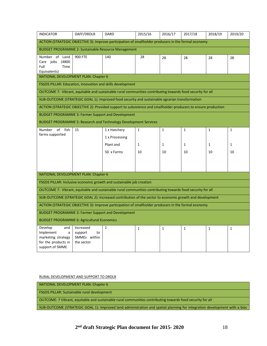| <b>INDICATOR</b>                                                                                               | DAFF/DRDLR                                                | <b>DARD</b>                                               | 2015/16                            | 2016/17                            | 2017/18                            | 2018/19                            | 2019/20                            |  |
|----------------------------------------------------------------------------------------------------------------|-----------------------------------------------------------|-----------------------------------------------------------|------------------------------------|------------------------------------|------------------------------------|------------------------------------|------------------------------------|--|
| ACTION (STRATEGIC OBJECTIVE 3): Improve participation of smallholder producers in the formal economy           |                                                           |                                                           |                                    |                                    |                                    |                                    |                                    |  |
| <b>BUDGET PROGRAMME 2: Sustainable Resource Management</b>                                                     |                                                           |                                                           |                                    |                                    |                                    |                                    |                                    |  |
| Number of Land<br>(4800<br>Care jobs<br>Full<br>Time<br>Equivalents)                                           | <b>900 FTE</b>                                            | 140                                                       | 28                                 | 28                                 | 28                                 | 28                                 | 28                                 |  |
| NATIONAL DEVELOPMENT PLAN: Chapter 6                                                                           |                                                           |                                                           |                                    |                                    |                                    |                                    |                                    |  |
| <b>FSGDS PILLAR: Education, innovation and skills development</b>                                              |                                                           |                                                           |                                    |                                    |                                    |                                    |                                    |  |
| OUTCOME 7: Vibrant, equitable and sustainable rural communities contributing towards food security for all     |                                                           |                                                           |                                    |                                    |                                    |                                    |                                    |  |
| SUB-OUTCOME (STRATEGIC GOAL 1): Improved food security and sustainable agrarian transformation                 |                                                           |                                                           |                                    |                                    |                                    |                                    |                                    |  |
| ACTION (STRATEGIC OBJECTIVE 2): Provided support to subsistence and smallholder producers to ensure production |                                                           |                                                           |                                    |                                    |                                    |                                    |                                    |  |
| <b>BUDGET PROGRAMME 3: Farmer Support and Development</b>                                                      |                                                           |                                                           |                                    |                                    |                                    |                                    |                                    |  |
| BUDGET PROGRAMME 5: Research and Technology Development Services                                               |                                                           |                                                           |                                    |                                    |                                    |                                    |                                    |  |
| of fish<br>Number<br>farms supported                                                                           | 15                                                        | 1 x Hatchery<br>1 x Processing<br>Plant and<br>50 x Farms | $\mathbf{1}$<br>$\mathbf{1}$<br>10 | $\mathbf{1}$<br>$\mathbf{1}$<br>10 | $\mathbf{1}$<br>$\mathbf{1}$<br>10 | $\mathbf{1}$<br>$\mathbf{1}$<br>10 | $\mathbf{1}$<br>$\mathbf{1}$<br>10 |  |
| NATIONAL DEVELOPMENT PLAN: Chapter 6                                                                           |                                                           |                                                           |                                    |                                    |                                    |                                    |                                    |  |
| FSGDS PILLAR: Inclusive economic growth and sustainable job creation                                           |                                                           |                                                           |                                    |                                    |                                    |                                    |                                    |  |
| OUTCOME 7: Vibrant, equitable and sustainable rural communities contributing towards food security for all     |                                                           |                                                           |                                    |                                    |                                    |                                    |                                    |  |
| SUB-OUTCOME (STRATEGIC GOAL 2): Increased contribution of the sector to economic growth and development        |                                                           |                                                           |                                    |                                    |                                    |                                    |                                    |  |
| ACTION (STRATEGIC OBJECTIVE 3): Improve participation of smallholder producers in the formal economy           |                                                           |                                                           |                                    |                                    |                                    |                                    |                                    |  |
|                                                                                                                | <b>BUDGET PROGRAMME 3: Farmer Support and Development</b> |                                                           |                                    |                                    |                                    |                                    |                                    |  |
| <b>BUDGET PROGRAMME 6: Agricultural Economics</b>                                                              |                                                           |                                                           |                                    |                                    |                                    |                                    |                                    |  |
| Develop<br>and<br>Implement<br>a<br>marketing strategy<br>for the products in<br>support of SMME               | Increased<br>support<br>to<br>SMMEs within<br>the sector  | $\mathbf{1}$                                              | 1                                  | $\mathbf{1}$                       | 1                                  | $\mathbf{1}$                       | $\mathbf{1}$                       |  |

RURAL DEVELOPMENT AND SUPPORT TO DRDLR

NATIONAL DEVELOPMENT PLAN: Chapter 6

FSGDS PILLAR: Sustainable rural development

OUTCOME: 7 Vibrant, equitable and sustainable rural communities contributing towards food security for all

SUB-OUTCOME (STRATEGIC GOAL 1): Improved land administration and spatial planning for integration development with a bias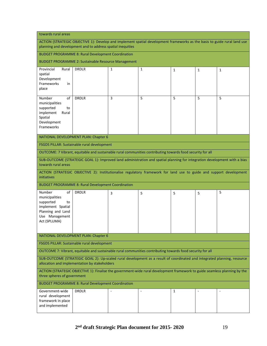| towards rural areas                                                                                                           |                                                                                                                                                                                         |   |   |   |   |   |
|-------------------------------------------------------------------------------------------------------------------------------|-----------------------------------------------------------------------------------------------------------------------------------------------------------------------------------------|---|---|---|---|---|
|                                                                                                                               | ACTION (STRATEGIC OBJECTIVE 1): Develop and implement spatial development frameworks as the basis to guide rural land use<br>planning and development and to address spatial inequities |   |   |   |   |   |
|                                                                                                                               | <b>BUDGET PROGRAMME 8: Rural Development Coordination</b>                                                                                                                               |   |   |   |   |   |
|                                                                                                                               | <b>BUDGET PROGRAMME 2: Sustainable Resource Management</b>                                                                                                                              |   |   |   |   |   |
| Provincial<br>Rural<br>spatial<br>Development<br>Frameworks<br>in<br>place                                                    | <b>DRDLR</b>                                                                                                                                                                            | 1 | 1 | 1 | 1 | 1 |
| Number<br>οf<br>municipalities<br>supported<br>to<br>implement<br>Rural<br>Spatial<br>Development<br>Frameworks               | <b>DRDLR</b>                                                                                                                                                                            | 3 | 5 | 5 | 5 | 5 |
|                                                                                                                               | NATIONAL DEVELOPMENT PLAN: Chapter 6                                                                                                                                                    |   |   |   |   |   |
|                                                                                                                               | FSGDS PILLAR: Sustainable rural development                                                                                                                                             |   |   |   |   |   |
|                                                                                                                               | OUTCOME: 7 Vibrant, equitable and sustainable rural communities contributing towards food security for all                                                                              |   |   |   |   |   |
| towards rural areas                                                                                                           | SUB-OUTCOME (STRATEGIC GOAL 1): Improved land administration and spatial planning for integration development with a bias                                                               |   |   |   |   |   |
| initiatives                                                                                                                   | ACTION (STRATEGIC OBJECTIVE 2): Institutionalise regulatory framework for land use to guide and support development                                                                     |   |   |   |   |   |
|                                                                                                                               | <b>BUDGET PROGRAMME 8: Rural Development Coordination</b>                                                                                                                               |   |   |   |   |   |
| Number<br>οf<br>municipalities<br>supported<br>to<br>implement Spatial<br>Planning and Land<br>Use Management<br>Act (SPLUMA) | <b>DRDLR</b>                                                                                                                                                                            | 3 | 5 | 5 | 5 | 5 |
|                                                                                                                               | NATIONAL DEVELOPMENT PLAN: Chapter 6                                                                                                                                                    |   |   |   |   |   |
|                                                                                                                               | FSGDS PILLAR: Sustainable rural development                                                                                                                                             |   |   |   |   |   |
|                                                                                                                               | OUTCOME 7: Vibrant, equitable and sustainable rural communities contributing towards food security for all                                                                              |   |   |   |   |   |
|                                                                                                                               | SUB-OUTCOME (STRATEGIC GOAL 2): Up-scaled rural development as a result of coordinated and integrated planning, resource<br>allocation and implementation by stakeholders               |   |   |   |   |   |
| three spheres of government                                                                                                   | ACTION (STRATEGIC OBJECTIVE 1): Finalise the government-wide rural development framework to guide seamless planning by the                                                              |   |   |   |   |   |
|                                                                                                                               | <b>BUDGET PROGRAMME 8: Rural Development Coordination</b>                                                                                                                               |   |   |   |   |   |
| Government-wide<br>rural development<br>framework in place<br>and implemented                                                 | <b>DRDLR</b>                                                                                                                                                                            |   |   | 1 |   |   |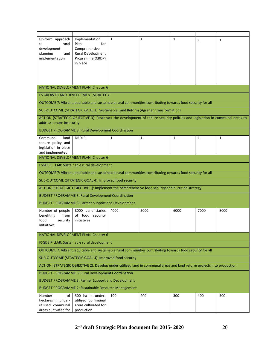| Uniform approach<br>rural<br>to<br>development<br>planning<br>and<br>implementation                        | Implementation<br>Plan<br>for<br>Comprehensive<br>Rural Development<br>Programme (CRDP)<br>in place                         | $\mathbf{1}$ | $\mathbf{1}$ | $\mathbf{1}$ | $\mathbf{1}$ | $\mathbf{1}$ |  |  |
|------------------------------------------------------------------------------------------------------------|-----------------------------------------------------------------------------------------------------------------------------|--------------|--------------|--------------|--------------|--------------|--|--|
|                                                                                                            |                                                                                                                             |              |              |              |              |              |  |  |
| NATIONAL DEVELOPMENT PLAN: Chapter 6                                                                       |                                                                                                                             |              |              |              |              |              |  |  |
|                                                                                                            | FS GROWTH AND DEVELOPMENT STRATEGY:                                                                                         |              |              |              |              |              |  |  |
|                                                                                                            | OUTCOME 7: Vibrant, equitable and sustainable rural communities contributing towards food security for all                  |              |              |              |              |              |  |  |
|                                                                                                            | SUB-OUTCOME (STRATEGIC GOAL 3): Sustainable Land Reform (Agrarian transformation)                                           |              |              |              |              |              |  |  |
| address tenure insecurity                                                                                  | ACTION (STRATEGIC OBJECTIVE 3): Fast-track the development of tenure security policies and legislation in communal areas to |              |              |              |              |              |  |  |
|                                                                                                            | <b>BUDGET PROGRAMME 8: Rural Development Coordination</b>                                                                   |              |              |              |              |              |  |  |
| Communal<br>land<br>tenure policy and<br>legislation in place<br>and implemented                           | <b>DRDLR</b>                                                                                                                | 1            | $\mathbf{1}$ | 1            | $\mathbf{1}$ | $\mathbf{1}$ |  |  |
| NATIONAL DEVELOPMENT PLAN: Chapter 6                                                                       |                                                                                                                             |              |              |              |              |              |  |  |
| FSGDS PILLAR: Sustainable rural development                                                                |                                                                                                                             |              |              |              |              |              |  |  |
| OUTCOME 7: Vibrant, equitable and sustainable rural communities contributing towards food security for all |                                                                                                                             |              |              |              |              |              |  |  |
|                                                                                                            | SUB-OUTCOME (STRATEGIC GOAL 4): Improved food security                                                                      |              |              |              |              |              |  |  |
|                                                                                                            | ACTION (STRATEGIC OBJECTIVE 1): Implement the comprehensive food security and nutrition strategy                            |              |              |              |              |              |  |  |
|                                                                                                            | <b>BUDGET PROGRAMME 8: Rural Development Coordination</b>                                                                   |              |              |              |              |              |  |  |
|                                                                                                            | <b>BUDGET PROGRAMME 3: Farmer Support and Development</b>                                                                   |              |              |              |              |              |  |  |
| Number of people<br>from<br>benefiting<br>food<br>security<br>initiatives                                  | 8000 beneficiaries<br>of food<br>security<br>initiatives                                                                    | 4000         | 5000         | 6000         | 7000         | 8000         |  |  |
|                                                                                                            | NATIONAL DEVELOPMENT PLAN: Chapter 6                                                                                        |              |              |              |              |              |  |  |
|                                                                                                            | FSGDS PILLAR: Sustainable rural development                                                                                 |              |              |              |              |              |  |  |
|                                                                                                            | OUTCOME 7: Vibrant, equitable and sustainable rural communities contributing towards food security for all                  |              |              |              |              |              |  |  |
| SUB-OUTCOME (STRATEGIC GOAL 4): Improved food security                                                     |                                                                                                                             |              |              |              |              |              |  |  |
|                                                                                                            | ACTION (STRATEGIC OBJECTIVE 2): Develop under-utilised land in communal areas and land reform projects into production      |              |              |              |              |              |  |  |
|                                                                                                            | <b>BUDGET PROGRAMME 8: Rural Development Coordination</b>                                                                   |              |              |              |              |              |  |  |
| <b>BUDGET PROGRAMME 3: Farmer Support and Development</b>                                                  |                                                                                                                             |              |              |              |              |              |  |  |
|                                                                                                            | <b>BUDGET PROGRAMME 2: Sustainable Resource Management</b>                                                                  |              |              |              |              |              |  |  |
| of<br>Number<br>hectares in under-<br>utilised communal<br>areas cultivated for                            | 500 ha in under-<br>utilised communal<br>areas cultivated for<br>production                                                 | 100          | 200          | 300          | 400          | 500          |  |  |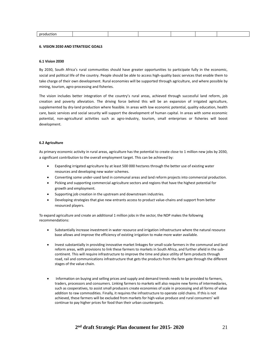| nr |  |  |  |
|----|--|--|--|
|    |  |  |  |
|    |  |  |  |

## **6. VISION 2030 AND STRATEGIC GOALS**

## **6.1 Vision 2030**

By 2030, South Africa's rural communities should have greater opportunities to participate fully in the economic, social and political life of the country. People should be able to access high-quality basic services that enable them to take charge of their own development. Rural economies will be supported through agriculture, and where possible by mining, tourism, agro-processing and fisheries.

The vision includes better integration of the country's rural areas, achieved through successful land reform, job creation and poverty alleviation. The driving force behind this will be an expansion of irrigated agriculture, supplemented by dry-land production where feasible. In areas with low economic potential, quality education, health care, basic services and social security will support the development of human capital. In areas with some economic potential, non-agricultural activities such as agro-industry, tourism, small enterprises or fisheries will boost development.

## **6.2 Agriculture**

As primary economic activity in rural areas, agriculture has the potential to create close to 1 million new jobs by 2030, a significant contribution to the overall employment target. This can be achieved by:

- Expanding irrigated agriculture by at least 500 000 hectares through the better use of existing water resources and developing new water schemes.
- Converting some under-used land in communal areas and land reform projects into commercial production.
- Picking and supporting commercial agriculture sectors and regions that have the highest potential for growth and employment.
- Supporting job creation in the upstream and downstream industries.
- Developing strategies that give new entrants access to product value-chains and support from better resourced players.

To expand agriculture and create an additional 1 million jobs in the sector, the NDP makes the following recommendations:

- Substantially increase investment in water resource and irrigation infrastructure where the natural resource base allows and improve the efficiency of existing irrigation to make more water available.
- Invest substantially in providing innovative market linkages for small-scale farmers in the communal and land reform areas, with provisions to link these farmers to markets in South Africa, and further afield in the subcontinent. This will require infrastructure to improve the time and place utility of farm products through road, rail and communications infrastructure that gets the products from the farm gate through the different stages of the value chain.
- Information on buying and selling prices and supply and demand trends needs to be provided to farmers, traders, processors and consumers. Linking farmers to markets will also require new forms of intermediaries, such as cooperatives, to assist small producers create economies of scale in processing and all forms of value addition to raw commodities. Finally, it requires the infrastructure to operate cold chains. If this is not achieved, these farmers will be excluded from markets for high-value produce and rural consumers' will continue to pay higher prices for food than their urban counterparts.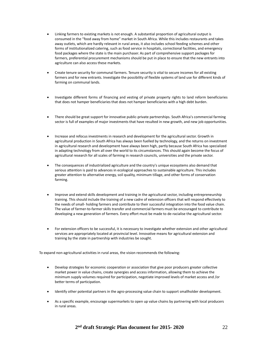- Linking farmers to existing markets is not enough. A substantial proportion of agricultural output is consumed in the "food away from home" market in South Africa. While this includes restaurants and takes away outlets, which are hardly relevant in rural areas, it also includes school feeding schemes and other forms of institutionalized catering, such as food service in hospitals, correctional facilities, and emergency food packages where the state is the main purchaser. As part of comprehensive support packages for farmers, preferential procurement mechanisms should be put in place to ensure that the new entrants into agriculture can also access these markets.
- Create tenure security for communal farmers. Tenure security is vital to secure incomes for all existing farmers and for new entrants. Investigate the possibility of flexible systems of land use for different kinds of farming on communal lands.
- Investigate different forms of financing and vesting of private property rights to land reform beneficiaries that does not hamper beneficiaries that does not hamper beneficiaries with a high debt burden.
- There should be great support for innovative public-private partnerships. South Africa's commercial farming sector is full of examples of major investments that have resulted in new growth, and new job opportunities.
- Increase and refocus investments in research and development for the agricultural sector. Growth in agricultural production in South Africa has always been fuelled by technology, and the returns on investment in agricultural research and development have always been high, partly because South Africa has specialized in adapting technology from all over the world to its circumstances. This should again become the focus of agricultural research for all scales of farming in research councils, universities and the private sector.
- The consequences of industrialized agriculture and the country's unique ecosystems also demand that serious attention is paid to advances in ecological approaches to sustainable agriculture. This includes greater attention to alternative energy, soil quality, minimum tillage, and other forms of conservation farming.
- Improve and extend skills development and training in the agricultural sector, including entrepreneurship training. This should include the training of a new cadre of extension officers that will respond effectively to the needs of small- holding farmers and contribute to their successful integration into the food value chain. The value of farmer-to-farmer skills transfer and commercial farmers must be encouraged to contribute to developing a new generation of farmers. Every effort must be made to de-racialise the agricultural sector.
- For extension officers to be successful, it is necessary to investigate whether extension and other agricultural services are appropriately located at provincial level. Innovative means for agricultural extension and training by the state in partnership with industries be sought.

To expand non-agricultural activities in rural areas, the vision recommends the following:

- Develop strategies for economic cooperation or association that give poor producers greater collective market power in value chains, create synergies and access information, allowing them to achieve the minimum supply volumes required for participation, negotiate improved levels of market access and /or better terms of participation.
- Identify other potential partners in the agro-processing value chain to support smallholder development.
- As a specific example, encourage supermarkets to open up value chains by partnering with local producers in rural areas.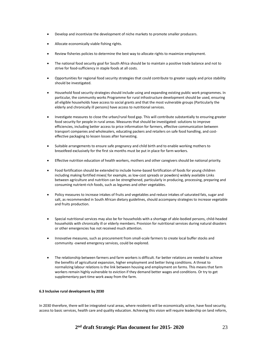- Develop and incentivize the development of niche markets to promote smaller producers.
- Allocate economically viable fishing rights.
- Review fisheries policies to determine the best way to allocate rights to maximize employment.
- The national food security goal for South Africa should be to maintain a positive trade balance and not to strive for food-sufficiency in staple foods at all costs.
- Opportunities for regional food security strategies that could contribute to greater supply and price stability should be investigated.
- Household food security strategies should include using and expanding existing public work programmes. In particular, the community works Programme for rural infrastructure development should be used, ensuring all eligible households have access to social grants and that the most vulnerable groups (Particularly the elderly and chronically ill persons) have access to nutritional services.
- Investigate measures to close the urban/rural food gap. This will contribute substantially to ensuring greater food security for people in rural areas. Measures that should be investigated: solutions to improve efficiencies, including better access to price information for farmers, effective communication between transport companies and wholesalers, educating packers and retailers on safe food handling, and costeffective packaging to lessen losses after harvesting.
- Suitable arrangements to ensure safe pregnancy and child birth and to enable working mothers to breastfeed exclusively for the first six months must be put in place for farm workers.
- Effective nutrition education of health workers, mothers and other caregivers should be national priority.
- Food fortification should be extended to include home-based fortification of foods for young children including making fortified mixes( for example, as low-cost spreads or powders) widely available Links between agriculture and nutrition can be strengthened, particularly in producing, processing, preparing and consuming nutrient-rich foods, such as legumes and other vegetables.
- Policy measures to increase intakes of fruits and vegetables and reduce intakes of saturated fats, sugar and salt, as recommended in South African dietary guidelines, should accompany strategies to increase vegetable and fruits production.
- Special nutritional services may also be for households with a shortage of able-bodied persons, child-headed households with chronically ill or elderly members. Provision for nutritional services during natural disasters or other emergencies has not received much attention.
- Innovative measures, such as procurement from small-scale farmers to create local buffer stocks and community -owned emergency services, could be explored.
- The relationship between farmers and farm workers is difficult. Far better relations are needed to achieve the benefits of agricultural expansion, higher employment and better living conditions. A threat to normalizing labour relations is the link between housing and employment on farms. This means that farm workers remain highly vulnerable to eviction if they demand better wages and conditions. Or try to get supplementary part-time work away from the farm.

## **6.3 Inclusive rural development by 2030**

In 2030 therefore, there will be integrated rural areas, where residents will be economically active, have food security, access to basic services, health care and quality education. Achieving this vision will require leadership on land reform,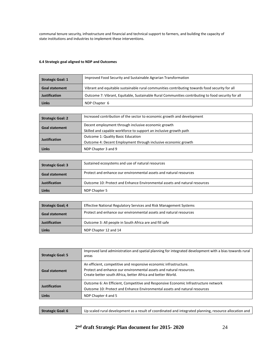communal tenure security, infrastructure and financial and technical support to farmers, and building the capacity of state institutions and industries to implement these interventions.

# **6.4 Strategic goal aligned to NDP and Outcomes**

| <b>Strategic Goal: 1</b> | Improved Food Security and Sustainable Agrarian Transformation                                     |
|--------------------------|----------------------------------------------------------------------------------------------------|
| <b>Goal statement</b>    | Vibrant and equitable sustainable rural communities contributing towards food security for all     |
| Justification            | Outcome 7: Vibrant, Equitable, Sustainable Rural Communities contributing to food security for all |
| Links                    | NDP Chapter 6                                                                                      |

| <b>Strategic Goal: 2</b> | Increased contribution of the sector to economic growth and development |
|--------------------------|-------------------------------------------------------------------------|
| <b>Goal statement</b>    | Decent employment through inclusive economic growth                     |
|                          | Skilled and capable workforce to support an inclusive growth path       |
| <b>Justification</b>     | <b>Outcome 1: Quality Basic Education</b>                               |
|                          | Outcome 4: Decent Employment through inclusive economic growth          |
| Links                    | NDP Chapter 3 and 9                                                     |

| <b>Strategic Goal: 3</b> | Sustained ecosystems and use of natural resources                          |
|--------------------------|----------------------------------------------------------------------------|
| <b>Goal statement</b>    | Protect and enhance our environmental assets and natural resources         |
| <b>Justification</b>     | Outcome 10: Protect and Enhance Environmental assets and natural resources |
| Links                    | NDP Chapter 5                                                              |

| Strategic Goal; 4    | <b>Effective National Regulatory Services and Risk Management Systems</b> |
|----------------------|---------------------------------------------------------------------------|
| Goal statement       | Protect and enhance our environmental assets and natural resources        |
| <b>Justification</b> | Outcome 3: All people in South Africa are and fill safe                   |
| Links                | NDP Chapter 12 and 14                                                     |

| <b>Strategic Goal: 5</b> | Improved land administration and spatial planning for integrated development with a bias towards rural<br>areas                                                                                         |
|--------------------------|---------------------------------------------------------------------------------------------------------------------------------------------------------------------------------------------------------|
| <b>Goal statement</b>    | An efficient, competitive and responsive economic infrastructure.<br>Protect and enhance our environmental assets and natural resources.<br>Create better south Africa, better Africa and better World. |
| <b>Justification</b>     | Outcome 6: An Efficient, Competitive and Responsive Economic Infrastructure network<br>Outcome 10: Protect and Enhance Environmental assets and natural resources                                       |
| <b>Links</b>             | NDP Chapter 4 and 5                                                                                                                                                                                     |

| Up scaled rural development as a result of coordinated and integrated planning, resource allocation and<br>Strategic Goal: 6 |  |
|------------------------------------------------------------------------------------------------------------------------------|--|
|------------------------------------------------------------------------------------------------------------------------------|--|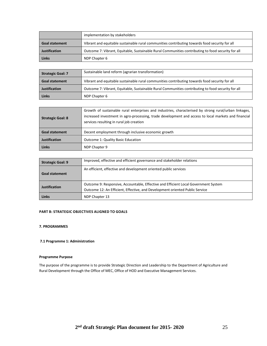|                       | implementation by stakeholders                                                                     |
|-----------------------|----------------------------------------------------------------------------------------------------|
| <b>Goal statement</b> | Vibrant and equitable sustainable rural communities contributing towards food security for all     |
| <b>Justification</b>  | Outcome 7: Vibrant, Equitable, Sustainable Rural Communities contributing to food security for all |
| <b>Links</b>          | NDP Chapter 6                                                                                      |

| Strategic Goal: 7    | Sustainable land reform (agrarian transformation)                                                  |
|----------------------|----------------------------------------------------------------------------------------------------|
| Goal statement       | Vibrant and equitable sustainable rural communities contributing towards food security for all     |
| <b>Justification</b> | Outcome 7: Vibrant, Equitable, Sustainable Rural Communities contributing to food security for all |
| <b>Links</b>         | NDP Chapter 6                                                                                      |

| <b>Strategic Goal: 8</b> | Growth of sustainable rural enterprises and industries, characterised by strong rural/urban linkages,<br>increased investment in agro-processing, trade development and access to local markets and financial<br>services resulting in rural job creation |
|--------------------------|-----------------------------------------------------------------------------------------------------------------------------------------------------------------------------------------------------------------------------------------------------------|
| <b>Goal statement</b>    | Decent employment through inclusive economic growth                                                                                                                                                                                                       |
| <b>Justification</b>     | <b>Outcome 1: Quality Basic Education</b>                                                                                                                                                                                                                 |
| Links                    | NDP Chapter 9                                                                                                                                                                                                                                             |

| <b>Strategic Goal: 9</b> | Improved, effective and efficient governance and stakeholder relations                                                                                              |
|--------------------------|---------------------------------------------------------------------------------------------------------------------------------------------------------------------|
| <b>Goal statement</b>    | An efficient, effective and development oriented public services                                                                                                    |
| <b>Justification</b>     | Outcome 9: Responsive, Accountable, Effective and Efficient Local Government System<br>Outcome 12: An Efficient, Effective, and Development oriented Public Service |
| Links                    | NDP Chapter 13                                                                                                                                                      |

# **PART B: STRATEGIC OBJECTIVES ALIGNED TO GOALS**

# **7. PROGRAMMES**

**7.1 Programme 1: Administration**

# **Programme Purpose**

The purpose of the programme is to provide Strategic Direction and Leadership to the Department of Agriculture and Rural Development through the Office of MEC, Office of HOD and Executive Management Services.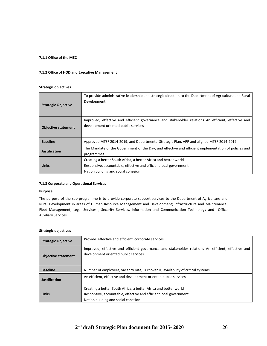# **7.1.1 Office of the MEC**

## **7.1.2 Office of HOD and Executive Management**

# **Strategic objectives**

| <b>Strategic Objective</b> | To provide administrative leadership and strategic direction to the Department of Agriculture and Rural<br>Development                                                       |
|----------------------------|------------------------------------------------------------------------------------------------------------------------------------------------------------------------------|
| <b>Objective statement</b> | Improved, effective and efficient governance and stakeholder relations An efficient, effective and<br>development oriented public services                                   |
| <b>Baseline</b>            | Approved MTSF 2014-2019, and Departmental Strategic Plan, APP and aligned MTEF 2014-2019                                                                                     |
| Justification              | The Mandate of the Government of the Day, and effective and efficient implementation of policies and<br>programmes.                                                          |
| Links                      | Creating a better South Africa, a better Africa and better world<br>Responsive, accountable, effective and efficient local government<br>Nation building and social cohesion |

# **7.1.3 Corporate and Operational Services**

## **Purpose**

The purpose of the sub-programme is to provide corporate support services to the Department of Agriculture and Rural Development in areas of Human Resource Management and Development; Infrastructure and Maintenance, Fleet Management, Legal Services , Security Services, Information and Communication Technology and Office Auxiliary Services

| <b>Strategic Objective</b> | Provide effective and efficient corporate services                                                                                                                           |
|----------------------------|------------------------------------------------------------------------------------------------------------------------------------------------------------------------------|
| <b>Objective statement</b> | Improved, effective and efficient governance and stakeholder relations An efficient, effective and<br>development oriented public services                                   |
| <b>Baseline</b>            | Number of employees, vacancy rate, Turnover %, availability of critical systems                                                                                              |
| <b>Justification</b>       | An efficient, effective and development oriented public services                                                                                                             |
| <b>Links</b>               | Creating a better South Africa, a better Africa and better world<br>Responsive, accountable, effective and efficient local government<br>Nation building and social cohesion |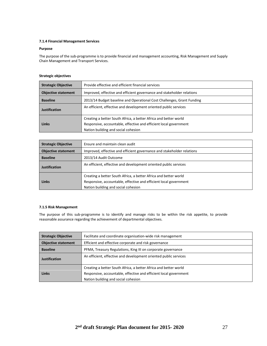## **7.1.4 Financial Management Services**

# **Purpose**

The purpose of the sub-programme is to provide financial and management accounting, Risk Management and Supply Chain Management and Transport Services.

## **Strategic objectives**

| <b>Strategic Objective</b> | Provide effective and efficient financial services                     |  |
|----------------------------|------------------------------------------------------------------------|--|
| <b>Objective statement</b> | Improved, effective and efficient governance and stakeholder relations |  |
| <b>Baseline</b>            | 2013/14 Budget baseline and Operational Cost Challenges, Grant Funding |  |
| <b>Justification</b>       | An efficient, effective and development oriented public services       |  |
|                            | Creating a better South Africa, a better Africa and better world       |  |
| Links                      | Responsive, accountable, effective and efficient local government      |  |
|                            | Nation building and social cohesion                                    |  |

| <b>Strategic Objective</b> | Ensure and maintain clean audit                                                                                                                                              |  |
|----------------------------|------------------------------------------------------------------------------------------------------------------------------------------------------------------------------|--|
| <b>Objective statement</b> | Improved, effective and efficient governance and stakeholder relations                                                                                                       |  |
| <b>Baseline</b>            | 2013/14 Audit Outcome                                                                                                                                                        |  |
| <b>Justification</b>       | An efficient, effective and development oriented public services                                                                                                             |  |
| <b>Links</b>               | Creating a better South Africa, a better Africa and better world<br>Responsive, accountable, effective and efficient local government<br>Nation building and social cohesion |  |

# **7.1.5 Risk Management**

The purpose of this sub-programme is to identify and manage risks to be within the risk appetite, to provide reasonable assurance regarding the achievement of departmental objectives.

| <b>Strategic Objective</b> | Facilitate and coordinate organisation-wide risk management       |  |
|----------------------------|-------------------------------------------------------------------|--|
| <b>Objective statement</b> | Efficient and effective corporate and risk governance             |  |
| <b>Baseline</b>            | PFMA, Treasury Regulations, King III on corporate governance      |  |
| <b>Justification</b>       | An efficient, effective and development oriented public services  |  |
|                            | Creating a better South Africa, a better Africa and better world  |  |
| Links                      | Responsive, accountable, effective and efficient local government |  |
|                            | Nation building and social cohesion                               |  |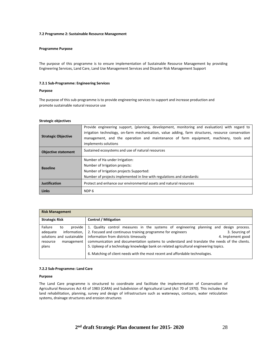## **7.2 Programme 2: Sustainable Resource Management**

## **Programme Purpose**

The purpose of this programme is to ensure implementation of Sustainable Resource Management by providing Engineering Services, Land Care, Land Use Management Services and Disaster Risk Management Support

## **7.2.1 Sub-Programme: Engineering Services**

#### **Purpose**

The purpose of this sub-programme is to provide engineering services to support and increase production and promote sustainable natural resource use

#### **Strategic objectives**

|                            | Provide engineering support, (planning, development, monitoring and evaluation) with regard to<br>irrigation technology, on-farm mechanisation, value adding, farm structures, resource conservation |  |
|----------------------------|------------------------------------------------------------------------------------------------------------------------------------------------------------------------------------------------------|--|
| <b>Strategic Objective</b> | management, and the operation and maintenance of farm equipment, machinery, tools and<br>implements solutions                                                                                        |  |
| <b>Objective statement</b> | Sustained ecosystems and use of natural resources                                                                                                                                                    |  |
|                            | Number of Ha under Irrigation:                                                                                                                                                                       |  |
| <b>Baseline</b>            | Number of Irrigation projects:                                                                                                                                                                       |  |
|                            | Number of Irrigation projects Supported:                                                                                                                                                             |  |
|                            | Number of projects implemented in line with regulations and standards:                                                                                                                               |  |
| <b>Justification</b>       | Protect and enhance our environmental assets and natural resources                                                                                                                                   |  |
| <b>Links</b>               | NDP 6                                                                                                                                                                                                |  |

| <b>Risk Management</b>                                                                                               |                                                                                                                                                                                                                                                                                                                                                                                                                                                                                                               |  |
|----------------------------------------------------------------------------------------------------------------------|---------------------------------------------------------------------------------------------------------------------------------------------------------------------------------------------------------------------------------------------------------------------------------------------------------------------------------------------------------------------------------------------------------------------------------------------------------------------------------------------------------------|--|
| <b>Strategic Risk</b>                                                                                                | <b>Control / Mitigation</b>                                                                                                                                                                                                                                                                                                                                                                                                                                                                                   |  |
| Failure<br>provide<br>to<br>adequate<br>information,<br>solutions and sustainable<br>management<br>resource<br>plans | 1. Quality control measures in the systems of engineering planning and design process.<br>2. Focused and continuous training programme for engineers<br>3. Sourcing of<br>information from districts timeously<br>4. Implement good<br>communication and documentation systems to understand and translate the needs of the clients.<br>5. Upkeep of a technology knowledge bank on related agricultural engineering topics.<br>6. Matching of client needs with the most recent and affordable technologies. |  |

## **7.2.2 Sub-Programme: Land Care**

## **Purpose**

The Land Care programme is structured to coordinate and facilitate the implementation of Conservation of Agricultural Resources Act 43 of 1983 (CARA) and Subdivision of Agricultural Land (Act 70 of 1970). This includes the land rehabilitation, planning, survey and design of infrastructure such as waterways, contours, water reticulation systems, drainage structures and erosion structures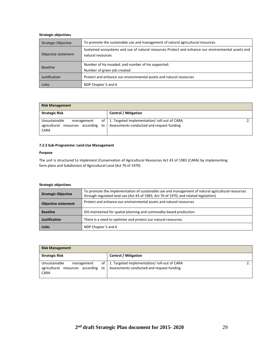# **Strategic objectives**

| <b>Strategic Objective</b> | To promote the sustainable use and management of natural agricultural resources                                         |  |
|----------------------------|-------------------------------------------------------------------------------------------------------------------------|--|
| Objective statement        | Sustained ecosystems and use of natural resources Protect and enhance our environmental assets and<br>natural resources |  |
| <b>Baseline</b>            | Number of Ha invaded: and number of Ha supported:<br>Number of green job created:                                       |  |
| Justification              | Protect and enhance our environmental assets and natural resources                                                      |  |
| Links                      | NDP Chapter 5 and 6                                                                                                     |  |

| <b>Risk Management</b>                                                               |                                                                                                |
|--------------------------------------------------------------------------------------|------------------------------------------------------------------------------------------------|
| <b>Strategic Risk</b>                                                                | <b>Control / Mitigation</b>                                                                    |
| Unsustainable<br>management<br>agricultural resources according<br>to<br><b>CARA</b> | of   1. Targeted implementation/ roll-out of CARA<br>Assessments conducted and request funding |

## **7.2.3 Sub-Programme: Land Use Management**

# **Purpose**

The unit is structured to implement (Conservation of Agricultural Resources Act 43 of 1983 (CARA) by implementing farm plans and Subdivision of Agricultural Land (Act 70 of 1970)

| <b>Strategic Objective</b> | To promote the implementation of sustainable use and management of natural agricultural resources<br>through regulated land use (Act 43 of 1983, Act 70 of 1970, and related legislation) |  |
|----------------------------|-------------------------------------------------------------------------------------------------------------------------------------------------------------------------------------------|--|
| <b>Objective statement</b> | Protect and enhance our environmental assets and natural resources                                                                                                                        |  |
| <b>Baseline</b>            | GIS maintained for spatial planning and commodity based production                                                                                                                        |  |
| Justification              | There is a need to optimize and protect our natural resources.                                                                                                                            |  |
| <b>Links</b>               | NDP Chapter 5 and 6                                                                                                                                                                       |  |

| <b>Risk Management</b>                                                               |                                                                                                |
|--------------------------------------------------------------------------------------|------------------------------------------------------------------------------------------------|
| <b>Strategic Risk</b>                                                                | <b>Control / Mitigation</b>                                                                    |
| Unsustainable<br>management<br>agricultural resources according<br>to<br><b>CARA</b> | of   1. Targeted implementation/ roll-out of CARA<br>Assessments conducted and request funding |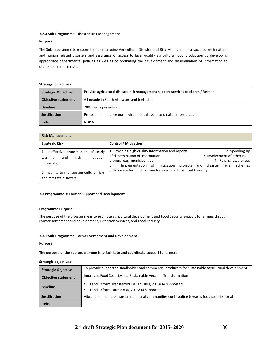## **7.2.4 Sub-Programme: Disaster Risk Management**

# **Purpose**

The Sub-programme is responsible for managing Agricultural Disaster and Risk Management associated with natural and human related disasters and assurance of access to face, quality agricultural food production by developing appropriate departmental policies as well as co-ordinating the development and dissemination of information to clients to minimise risks.

## **Strategic objectives**

| <b>Strategic Objective</b> | Provide agricultural disaster risk management support services to clients / farmers |  |
|----------------------------|-------------------------------------------------------------------------------------|--|
| <b>Objective statement</b> | All people in South Africa are and feel safe                                        |  |
| <b>Baseline</b>            | 700 clients per annum                                                               |  |
| Justification              | Protect and enhance our environmental assets and natural resources                  |  |
| <b>Links</b>               | NDP 6                                                                               |  |

| <b>Risk Management</b>                                                                                                                                             |                                                                                                                                                                                                                                        |                                                                                                              |
|--------------------------------------------------------------------------------------------------------------------------------------------------------------------|----------------------------------------------------------------------------------------------------------------------------------------------------------------------------------------------------------------------------------------|--------------------------------------------------------------------------------------------------------------|
| <b>Strategic Risk</b>                                                                                                                                              | <b>Control / Mitigation</b>                                                                                                                                                                                                            |                                                                                                              |
| 1. Ineffective transmission of early<br>mitigation<br>risk<br>warning<br>and<br>information<br>2. Inability to manage agricultural risks<br>and mitigate disasters | 1. Providing high quality information and reports<br>of dissemination of information<br>players e.g. municipalities<br>projects<br>Implementation of mitigation<br>5.<br>6. Motivate for funding from National and Provincial Treasury | 2. Speeding up<br>3. Involvement of other role-<br>4. Raising awareness<br>and disaster<br>relief<br>schemes |

## **7.3 Programme 3: Farmer Support and Development**

## **Programme Purpose**

The purpose of the programme is to promote agricultural development and Food Security support to farmers through Farmer settlement and development, Extension Services, and Food Security.

## **7.3.1 Sub-Programme: Farmer Settlement and Development**

## **Purpose**

## **The purpose of the sub-programme is to facilitate and coordinate support to farmers**

| <b>Strategic Objective</b> | To provide support to smallholder and commercial producers for sustainable agricultural development |  |
|----------------------------|-----------------------------------------------------------------------------------------------------|--|
| <b>Objective statement</b> | Improved Food Security and Sustainable Agrarian Transformation                                      |  |
| <b>Baseline</b>            | Land Reform Transferred Ha: 371 000, 2013/14 supported                                              |  |
|                            | Land Reform Farms: 834, 2013/14 supported                                                           |  |
| <b>Justification</b>       | Vibrant and equitable sustainable rural communities contributing towards food security for al       |  |
| Links                      |                                                                                                     |  |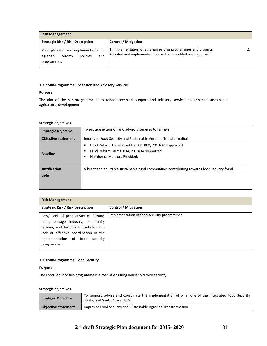| <b>Risk Management</b>                                                                     |                                                                                                                          |  |
|--------------------------------------------------------------------------------------------|--------------------------------------------------------------------------------------------------------------------------|--|
| <b>Strategic Risk / Risk Description</b>                                                   | <b>Control / Mitigation</b>                                                                                              |  |
| Poor planning and implementation of<br>policies<br>and<br>reform<br>agrarian<br>programmes | 1. Implementation of agrarian reform programmes and projects<br>Adopted and implemented focused commodity-based approach |  |

# **7.3.2 Sub-Programme: Extension and Advisory Services**

## **Purpose**

The aim of the sub-programme is to render technical support and advisory services to enhance sustainable agricultural development.

# **Strategic objectives**

| <b>Strategic Objective</b> | To provide extension and advisory services to farmers                                                                              |
|----------------------------|------------------------------------------------------------------------------------------------------------------------------------|
| <b>Objective statement</b> | Improved Food Security and Sustainable Agrarian Transformation                                                                     |
| <b>Baseline</b>            | Land Reform Transferred Ha: 371 000, 2013/14 supported<br>Land Reform Farms: 834, 2013/14 supported<br>Number of Mentors Provided: |
| Justification              | Vibrant and equitable sustainable rural communities contributing towards food security for al.                                     |
| <b>Links</b>               |                                                                                                                                    |

| <b>Risk Management</b>                                                                                                                                                                                        |                                            |
|---------------------------------------------------------------------------------------------------------------------------------------------------------------------------------------------------------------|--------------------------------------------|
| <b>Strategic Risk / Risk Description</b>                                                                                                                                                                      | <b>Control / Mitigation</b>                |
| Low/ Lack of productivity of farming<br>units, cottage industry, community<br>farming and farming households and<br>lack of effective coordination in the<br>implementation of food<br>security<br>programmes | Implementation of food security programmes |

# **7.3.3 Sub-Programme: Food Security**

# **Purpose**

The Food Security sub-programme is aimed at ensuring household food security

| Strategic Objective        | To support, advise and coordinate the implementation of pillar one of the Integrated Food Security<br>Strategy of South Africa (IFSS) |
|----------------------------|---------------------------------------------------------------------------------------------------------------------------------------|
| <b>Objective statement</b> | Improved Food Security and Sustainable Agrarian Transformation                                                                        |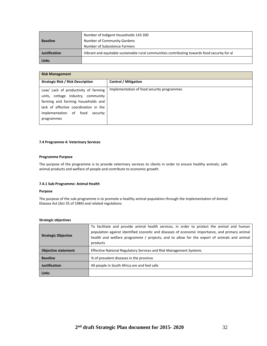|                      | Number of Indigent Households 143 200                                                         |
|----------------------|-----------------------------------------------------------------------------------------------|
| <b>Baseline</b>      | Number of Community Gardens                                                                   |
|                      | Number of Subsistence Farmers                                                                 |
| <b>Justification</b> | Vibrant and equitable sustainable rural communities contributing towards food security for al |
| Links                |                                                                                               |

| <b>Risk Management</b>                                                                                                                                                                                        |                                            |
|---------------------------------------------------------------------------------------------------------------------------------------------------------------------------------------------------------------|--------------------------------------------|
| <b>Strategic Risk / Risk Description</b>                                                                                                                                                                      | <b>Control / Mitigation</b>                |
| Low/ Lack of productivity of farming<br>units, cottage industry, community<br>farming and farming households and<br>lack of effective coordination in the<br>implementation of food<br>security<br>programmes | Implementation of food security programmes |

# **7.4 Programme 4: Veterinary Services**

# **Programme Purpose**

The purpose of the programme is to provide veterinary services to clients in order to ensure healthy animals, safe animal products and welfare of people and contribute to economic growth.

# **7.4.1 Sub-Programme: Animal Health**

## **Purpose**

The purpose of the sub-programme is to promote a healthy animal population through the implementation of Animal Disease Act (Act 35 of 1984) and related regulations

| <b>Strategic Objective</b> | To facilitate and provide animal health services, in order to protect the animal and human<br>population against identified zoonotic and diseases of economic importance, and primary animal<br>health and welfare programme / projects; and to allow for the export of animals and animal<br>products |
|----------------------------|--------------------------------------------------------------------------------------------------------------------------------------------------------------------------------------------------------------------------------------------------------------------------------------------------------|
| <b>Objective statement</b> | Effective National Regulatory Services and Risk Management Systems                                                                                                                                                                                                                                     |
| <b>Baseline</b>            | % of prevalent diseases in the province                                                                                                                                                                                                                                                                |
| <b>Justification</b>       | All people in South Africa are and feel safe                                                                                                                                                                                                                                                           |
| <b>Links</b>               |                                                                                                                                                                                                                                                                                                        |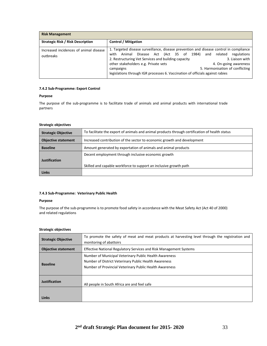| <b>Risk Management</b>                              |                                                                                                                                                                                                                                                                                                                                                                                                                                                    |
|-----------------------------------------------------|----------------------------------------------------------------------------------------------------------------------------------------------------------------------------------------------------------------------------------------------------------------------------------------------------------------------------------------------------------------------------------------------------------------------------------------------------|
| <b>Strategic Risk / Risk Description</b>            | <b>Control / Mitigation</b>                                                                                                                                                                                                                                                                                                                                                                                                                        |
| Increased incidences of animal disease<br>outbreaks | 1. Targeted disease surveillance, disease prevention and disease control in compliance<br>Disease Act (Act 35 of 1984)<br>and related<br>regulations<br>Animal<br>with<br>2. Restructuring Vet Services and building capacity<br>3. Liaison with<br>other stakeholders e.g. Private vets<br>4. On-going awareness<br>5. Harmonisation of conflicting<br>campaigns<br>legislations through IGR processes 6. Vaccination of officials against rabies |

## **7.4.2 Sub-Programme: Export Control**

# **Purpose**

The purpose of the sub-programme is to facilitate trade of animals and animal products with international trade partners

# **Strategic objectives**

| <b>Strategic Objective</b> | To facilitate the export of animals and animal products through certification of health status |
|----------------------------|------------------------------------------------------------------------------------------------|
| <b>Objective statement</b> | Increased contribution of the sector to economic growth and development                        |
| <b>Baseline</b>            | Amount generated by exportation of animals and animal products                                 |
|                            | Decent employment through inclusive economic growth                                            |
| <b>Justification</b>       |                                                                                                |
|                            | Skilled and capable workforce to support an inclusive growth path                              |
| Links                      |                                                                                                |

# **7.4.3 Sub-Programme: Veterinary Public Health**

## **Purpose**

The purpose of the sub-programme is to promote food safety in accordance with the Meat Safety Act (Act 40 of 2000) and related regulations

| <b>Strategic Objective</b> | To promote the safety of meat and meat products at harvesting level through the registration and<br>monitoring of abattoirs                                                |
|----------------------------|----------------------------------------------------------------------------------------------------------------------------------------------------------------------------|
| <b>Objective statement</b> | <b>Effective National Regulatory Services and Risk Management Systems</b>                                                                                                  |
| <b>Baseline</b>            | Number of Municipal Veterinary Public Health Awareness<br>Number of District Veterinary Public Health Awareness<br>Number of Provincial Veterinary Public Health Awareness |
| <b>Justification</b>       | All people in South Africa are and feel safe                                                                                                                               |
| Links                      |                                                                                                                                                                            |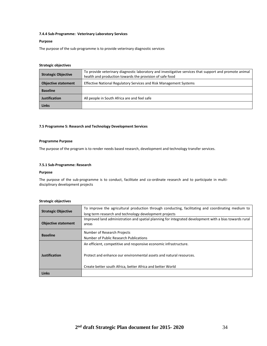# **7.4.4 Sub-Programme: Veterinary Laboratory Services**

## **Purpose**

The purpose of the sub-programme is to provide veterinary diagnostic services

# **Strategic objectives**

| <b>Strategic Objective</b> | To provide veterinary diagnostic laboratory and investigative services that support and promote animal<br>health and production towards the provision of safe food |
|----------------------------|--------------------------------------------------------------------------------------------------------------------------------------------------------------------|
| <b>Objective statement</b> | Effective National Regulatory Services and Risk Management Systems                                                                                                 |
| <b>Baseline</b>            |                                                                                                                                                                    |
| <b>Justification</b>       | All people in South Africa are and feel safe                                                                                                                       |
| <b>Links</b>               |                                                                                                                                                                    |

## **7.5 Programme 5: Research and Technology Development Services**

## **Programme Purpose**

The purpose of the program is to render needs based research, development and technology transfer services*.*

## **7.5.1 Sub-Programme: Research**

#### **Purpose**

The purpose of the sub-programme is to conduct, facilitate and co-ordinate research and to participate in multidisciplinary development projects

| <b>Strategic Objective</b> | To improve the agricultural production through conducting, facilitating and coordinating medium to<br>long term research and technology development projects |
|----------------------------|--------------------------------------------------------------------------------------------------------------------------------------------------------------|
| <b>Objective statement</b> | Improved land administration and spatial planning for integrated development with a bias towards rural<br>areas                                              |
| <b>Baseline</b>            | Number of Research Projects<br>Number of Public Research Publications                                                                                        |
| <b>Justification</b>       | An efficient, competitive and responsive economic infrastructure.                                                                                            |
|                            | Protect and enhance our environmental assets and natural resources.                                                                                          |
|                            | Create better south Africa, better Africa and better World                                                                                                   |
| Links                      |                                                                                                                                                              |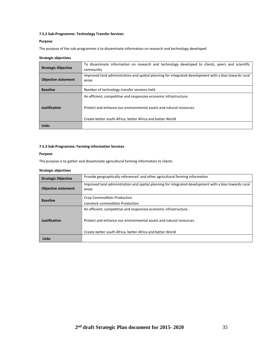# **7.5.2 Sub-Programme: Technology Transfer Services**

# **Purpose**

The purpose of the sub-programme is to disseminate information on research and technology developed

# **Strategic objectives**

| <b>Strategic Objective</b> | To disseminate information on research and technology developed to clients, peers and scientific<br>community   |
|----------------------------|-----------------------------------------------------------------------------------------------------------------|
| <b>Objective statement</b> | Improved land administration and spatial planning for integrated development with a bias towards rural<br>areas |
| <b>Baseline</b>            | Number of technology transfer sessions held                                                                     |
| <b>Justification</b>       | An efficient, competitive and responsive economic infrastructure.                                               |
|                            | Protect and enhance our environmental assets and natural resources.                                             |
|                            | Create better south Africa, better Africa and better World                                                      |
| <b>Links</b>               |                                                                                                                 |

# **7.5.3 Sub-Programme: Farming Information Services**

# **Purpose**

The purpose is to gather and disseminate agricultural farming information to clients

| <b>Strategic Objective</b> | Provide geographically referenced and other agricultural farming information                                                                                                                           |
|----------------------------|--------------------------------------------------------------------------------------------------------------------------------------------------------------------------------------------------------|
| <b>Objective statement</b> | Improved land administration and spatial planning for integrated development with a bias towards rural<br>areas                                                                                        |
| <b>Baseline</b>            | <b>Crop Commodities Production</b><br>Livestock commodities Production                                                                                                                                 |
| Justification              | An efficient, competitive and responsive economic infrastructure.<br>Protect and enhance our environmental assets and natural resources.<br>Create better south Africa, better Africa and better World |
| <b>Links</b>               |                                                                                                                                                                                                        |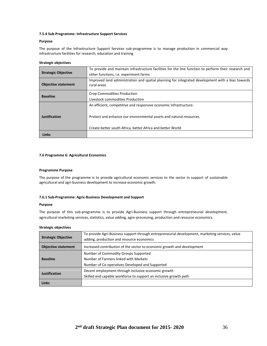## **7.5.4 Sub-Programme: Infrastructure Support Services**

## **Purpose**

The purpose of the Infrastructure Support Services sub-programme is to manage production in commercial way infrastructure facilities for research, education and training

# **Strategic objectives**

| <b>Strategic Objective</b> | To provide and maintain infrastructure facilities for the line function to perform their research and<br>other functions, i.e. experiment farms |
|----------------------------|-------------------------------------------------------------------------------------------------------------------------------------------------|
| <b>Objective statement</b> | Improved land administration and spatial planning for integrated development with a bias towards<br>rural areas                                 |
| <b>Baseline</b>            | Crop Commodities Production<br>Livestock commodities Production                                                                                 |
|                            | An efficient, competitive and responsive economic infrastructure.                                                                               |
| <b>Justification</b>       | Protect and enhance our environmental assets and natural resources.                                                                             |
|                            | Create better south Africa, better Africa and better World                                                                                      |
| <b>Links</b>               |                                                                                                                                                 |

#### **7.6 Programme 6: Agricultural Economics**

## **Programme Purpose**

The purpose of the programme is to provide agricultural economic services to the sector in support of sustainable agricultural and agri-business development to increase economic growth.

## **7.6.1 Sub-Programme: Agric-Business Development and Support**

#### **Purpose**

The purpose of this sub-programme is to provide Agri-Business support through entrepreneurial development, agricultural marketing services, statistics, value adding, agro-processing, production and resource economics.

| <b>Strategic Objective</b> | To provide Agri-Business support through entrepreneurial development, marketing services, value<br>adding, production and resource economics |
|----------------------------|----------------------------------------------------------------------------------------------------------------------------------------------|
| <b>Objective statement</b> | Increased contribution of the sector to economic growth and development                                                                      |
|                            | Number of Commodity Groups Supported                                                                                                         |
| <b>Baseline</b>            | Number of Farmers linked with Markets                                                                                                        |
|                            | Number of Co-operatives Developed and Supported                                                                                              |
| Justification              | Decent employment through inclusive economic growth                                                                                          |
|                            | Skilled and capable workforce to support an inclusive growth path                                                                            |
| <b>Links</b>               |                                                                                                                                              |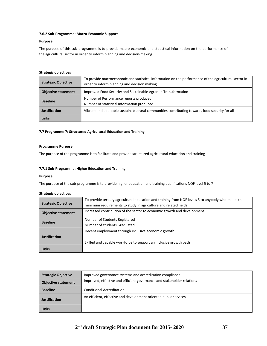## **7.6.2 Sub-Programme: Macro-Economic Support**

## **Purpose**

The purpose of this sub-programme is to provide macro-economic and statistical information on the performance of the agricultural sector in order to inform planning and decision-making.

## **Strategic objectives**

| <b>Strategic Objective</b> | To provide macroeconomic and statistical information on the performance of the agricultural sector in<br>order to inform planning and decision making |
|----------------------------|-------------------------------------------------------------------------------------------------------------------------------------------------------|
| <b>Objective statement</b> | Improved Food Security and Sustainable Agrarian Transformation                                                                                        |
| <b>Baseline</b>            | Number of Performance reports produced<br>Number of statistical information produced                                                                  |
| <b>Justification</b>       | Vibrant and equitable sustainable rural communities contributing towards food security for all                                                        |
| <b>Links</b>               |                                                                                                                                                       |

## **7.7 Programme 7: Structured Agricultural Education and Training**

## **Programme Purpose**

The purpose of the programme is to facilitate and provide structured agricultural education and training

# **7.7.1 Sub-Programme: Higher Education and Training**

## **Purpose**

The purpose of the sub-programme is to provide higher education and training qualifications NQF level 5 to 7

| To provide tertiary agricultural education and training from NQF levels 5 to anybody who meets the |
|----------------------------------------------------------------------------------------------------|
| minimum requirements to study in agriculture and related fields                                    |
| Increased contribution of the sector to economic growth and development                            |
| Number of Students Registered                                                                      |
| Number of students Graduated                                                                       |
| Decent employment through inclusive economic growth                                                |
|                                                                                                    |
| Skilled and capable workforce to support an inclusive growth path                                  |
|                                                                                                    |
|                                                                                                    |

| <b>Strategic Objective</b> | Improved governance systems and accreditation compliance               |
|----------------------------|------------------------------------------------------------------------|
| <b>Objective statement</b> | Improved, effective and efficient governance and stakeholder relations |
| <b>Baseline</b>            | <b>Conditional Accreditation</b>                                       |
| <b>Justification</b>       | An efficient, effective and development oriented public services       |
| Links                      |                                                                        |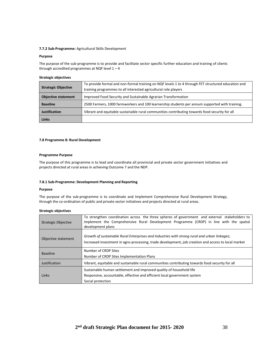## **7.7.2 Sub-Programme:** Agricultural Skills Development

#### **Purpose**

The purpose of the sub-programme is to provide and facilitate sector specific further education and training of clients through accredited programmes at NQF level  $1 - 4$ 

#### **Strategic objectives**

| <b>Strategic Objective</b> | To provide formal and non-formal training on NQF levels 1 to 4 through FET structured education and |
|----------------------------|-----------------------------------------------------------------------------------------------------|
|                            | training programmes to all interested agricultural role players                                     |
| <b>Objective statement</b> | Improved Food Security and Sustainable Agrarian Transformation                                      |
| <b>Baseline</b>            | 2500 Farmers, 1000 farmworkers and 100 learnership students per annum supported with training.      |
| Justification              | Vibrant and equitable sustainable rural communities contributing towards food security for all      |
| <b>Links</b>               |                                                                                                     |

## **7.8 Programme 8: Rural Development**

## **Programme Purpose**

The purpose of this programme is to lead and coordinate all provincial and private sector government initiatives and projects directed at rural areas in achieving Outcome 7 and the NDP.

#### **7.8.1 Sub-Programme: Development Planning and Reporting**

#### **Purpose**

The purpose of the sub-programme is to coordinate and Implement Comprehensive Rural Development Strategy, through the co-ordination of public and private sector initiatives and projects directed at rural areas.

| <b>Strategic Objective</b> | To strengthen coordination across the three spheres of government and external stakeholders to<br>implement the Comprehensive Rural Development Programme (CRDP) in line with the spatial<br>development plans |
|----------------------------|----------------------------------------------------------------------------------------------------------------------------------------------------------------------------------------------------------------|
| Objective statement        | Growth of sustainable Rural Enterprises and Industries with strong rural and urban linkages;<br>Increased investment in agro-processing, trade development, job creation and access to local market            |
| <b>Baseline</b>            | Number of CRDP Sites<br>Number of CRDP Sites Implementation Plans                                                                                                                                              |
| Justification              | Vibrant, equitable and sustainable rural communities contributing towards food security for all                                                                                                                |
| Links                      | Sustainable human settlement and improved quality of household life<br>Responsive, accountable, effective and efficient local government system<br>Social protection                                           |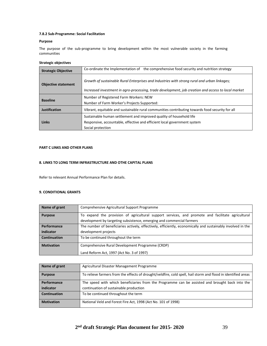# **7.8.2 Sub-Programme: Social Facilitation**

## **Purpose**

The purpose of the sub-programme to bring development within the most vulnerable society in the farming communities

# **Strategic objectives**

| <b>Strategic Objective</b> | Co-ordinate the Implementation of the comprehensive food security and nutrition strategy            |
|----------------------------|-----------------------------------------------------------------------------------------------------|
| <b>Objective statement</b> | Growth of sustainable Rural Enterprises and Industries with strong rural and urban linkages;        |
|                            | Increased investment in agro-processing, trade development, job creation and access to local market |
| <b>Baseline</b>            | Number of Registered Farm Workers: NEW                                                              |
|                            | Number of Farm Worker's Projects Supported:                                                         |
| <b>Justification</b>       | Vibrant, equitable and sustainable rural communities contributing towards food security for all     |
| Links                      | Sustainable human settlement and improved quality of household life                                 |
|                            | Responsive, accountable, effective and efficient local government system                            |
|                            | Social protection                                                                                   |

## **PART C LINKS AND OTHER PLANS**

## **8. LINKS TO LONG TERM INFRASTRUCTURE AND OTHE CAPITAL PLANS**

Refer to relevant Annual Performance Plan for details.

# **9. CONDITIONAL GRANTS**

| Name of grant     | Comprehensive Agricultural Support Programme                                                                 |
|-------------------|--------------------------------------------------------------------------------------------------------------|
| <b>Purpose</b>    | To expand the provision of agricultural support services, and promote and facilitate agricultural            |
|                   | development by targeting subsistence, emerging and commercial farmers                                        |
| Performance       | The number of beneficiaries actively, effectively, efficiently, economically and sustainably involved in the |
| indicator         | development projects                                                                                         |
| Continuation      | To be continued throughout the term                                                                          |
| <b>Motivation</b> | Comprehensive Rural Development Programme (CRDP)                                                             |
|                   | Land Reform Act, 1997 (Act No. 3 of 1997)                                                                    |

| Name of grant     | Agricultural Disaster Management Programme                                                                    |
|-------------------|---------------------------------------------------------------------------------------------------------------|
| <b>Purpose</b>    | To relieve farmers from the effects of drought/veldfire, cold spell, hail storm and flood in identified areas |
| Performance       | The speed with which beneficiaries from the Programme can be assisted and brought back into the               |
| indicator         | continuation of sustainable production                                                                        |
| Continuation      | To be continued throughout the term                                                                           |
| <b>Motivation</b> | National Veld and Forest Fire Act, 1998 (Act No. 101 of 1998)                                                 |